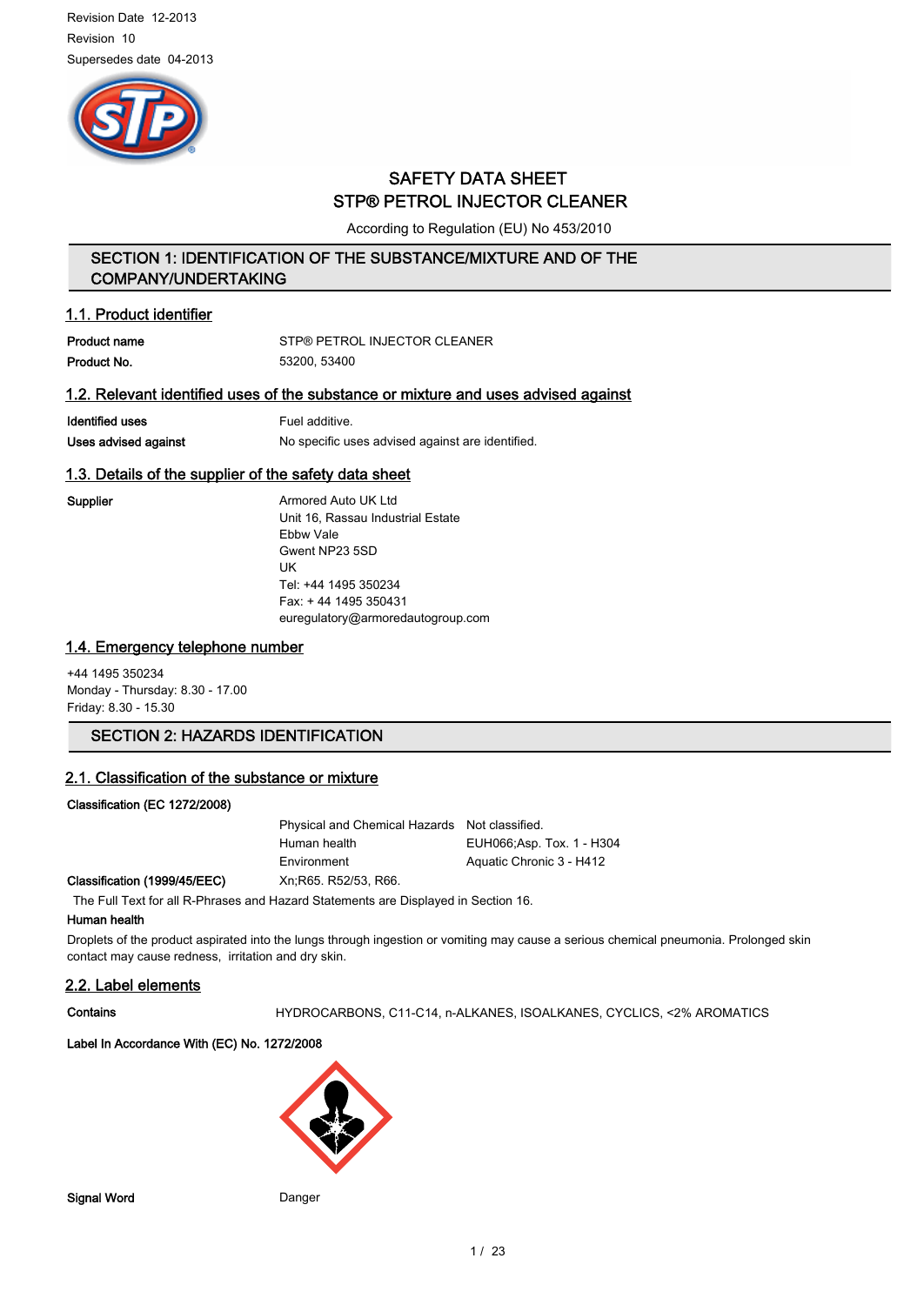

## SAFETY DATA SHEET STP® PETROL INJECTOR CLEANER

According to Regulation (EU) No 453/2010

## SECTION 1: IDENTIFICATION OF THE SUBSTANCE/MIXTURE AND OF THE COMPANY/UNDERTAKING

## 1.1. Product identifier

| Product name | STP® PETROL INJECTOR CLEANER |
|--------------|------------------------------|
| Product No.  | 53200.53400                  |

## 1.2. Relevant identified uses of the substance or mixture and uses advised against

| Identified uses      | Fuel additive.                                   |
|----------------------|--------------------------------------------------|
| Uses advised against | No specific uses advised against are identified. |

## 1.3. Details of the supplier of the safety data sheet

Supplier **Armored Auto UK Ltd** Unit 16, Rassau Industrial Estate Ebbw Vale Gwent NP23 5SD UK Tel: +44 1495 350234 Fax: + 44 1495 350431 euregulatory@armoredautogroup.com

## 1.4. Emergency telephone number

+44 1495 350234 Monday - Thursday: 8.30 - 17.00 Friday: 8.30 - 15.30

## SECTION 2: HAZARDS IDENTIFICATION

### 2.1. Classification of the substance or mixture

### Classification (EC 1272/2008)

Classification (1999/45/EEC)

| Physical and Chemical Hazards Not classified. |                            |
|-----------------------------------------------|----------------------------|
| Human health                                  | EUH066; Asp. Tox. 1 - H304 |
| Environment                                   | Aquatic Chronic 3 - H412   |
| Xn:R65, R52/53, R66.                          |                            |

The Full Text for all R-Phrases and Hazard Statements are Displayed in Section 16.

### Human health

Droplets of the product aspirated into the lungs through ingestion or vomiting may cause a serious chemical pneumonia. Prolonged skin contact may cause redness, irritation and dry skin.

### 2.2. Label elements

Contains **Contains** HYDROCARBONS, C11-C14, n-ALKANES, ISOALKANES, CYCLICS, <2% AROMATICS

### Label In Accordance With (EC) No. 1272/2008

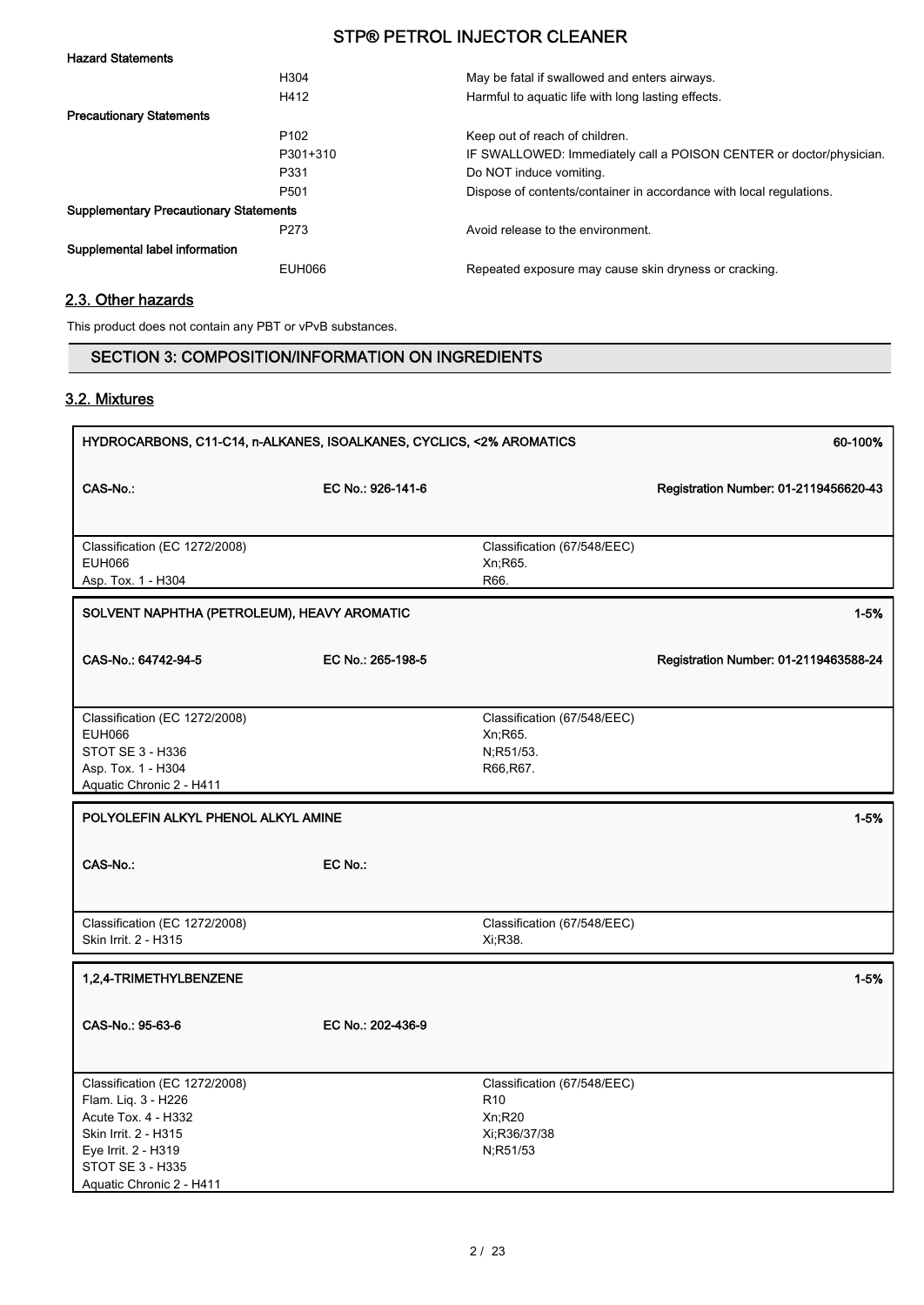| <b>Hazard Statements</b>                      |                  |                                                                     |
|-----------------------------------------------|------------------|---------------------------------------------------------------------|
|                                               | H <sub>304</sub> | May be fatal if swallowed and enters airways.                       |
|                                               | H412             | Harmful to aquatic life with long lasting effects.                  |
| <b>Precautionary Statements</b>               |                  |                                                                     |
|                                               | P <sub>102</sub> | Keep out of reach of children.                                      |
|                                               | P301+310         | IF SWALLOWED: Immediately call a POISON CENTER or doctor/physician. |
|                                               | P331             | Do NOT induce vomiting.                                             |
|                                               | P <sub>501</sub> | Dispose of contents/container in accordance with local regulations. |
| <b>Supplementary Precautionary Statements</b> |                  |                                                                     |
|                                               | P <sub>273</sub> | Avoid release to the environment.                                   |
| Supplemental label information                |                  |                                                                     |
|                                               | EUH066           | Repeated exposure may cause skin dryness or cracking.               |

## 2.3. Other hazards

This product does not contain any PBT or vPvB substances.

## SECTION 3: COMPOSITION/INFORMATION ON INGREDIENTS

## 3.2. Mixtures

| HYDROCARBONS, C11-C14, n-ALKANES, ISOALKANES, CYCLICS, <2% AROMATICS<br>60-100%                                                                                            |                   |                                                                                      |                                       |
|----------------------------------------------------------------------------------------------------------------------------------------------------------------------------|-------------------|--------------------------------------------------------------------------------------|---------------------------------------|
| <b>CAS-No.:</b>                                                                                                                                                            | EC No.: 926-141-6 |                                                                                      | Registration Number: 01-2119456620-43 |
|                                                                                                                                                                            |                   |                                                                                      |                                       |
| Classification (EC 1272/2008)<br><b>EUH066</b><br>Asp. Tox. 1 - H304                                                                                                       |                   | Classification (67/548/EEC)<br>Xn;R65.<br>R66.                                       |                                       |
|                                                                                                                                                                            |                   |                                                                                      |                                       |
| SOLVENT NAPHTHA (PETROLEUM), HEAVY AROMATIC                                                                                                                                |                   |                                                                                      | $1 - 5%$                              |
| CAS-No.: 64742-94-5                                                                                                                                                        | EC No.: 265-198-5 |                                                                                      | Registration Number: 01-2119463588-24 |
| Classification (EC 1272/2008)<br><b>EUH066</b><br><b>STOT SE 3 - H336</b><br>Asp. Tox. 1 - H304<br>Aquatic Chronic 2 - H411                                                |                   | Classification (67/548/EEC)<br>Xn;R65.<br>N, R51/53.<br>R66, R67.                    |                                       |
| POLYOLEFIN ALKYL PHENOL ALKYL AMINE                                                                                                                                        |                   |                                                                                      | $1 - 5%$                              |
| CAS-No.:                                                                                                                                                                   | EC No.:           |                                                                                      |                                       |
| Classification (EC 1272/2008)<br>Skin Irrit. 2 - H315                                                                                                                      |                   | Classification (67/548/EEC)<br>Xi, R38.                                              |                                       |
| 1,2,4-TRIMETHYLBENZENE                                                                                                                                                     |                   |                                                                                      | $1 - 5%$                              |
| CAS-No.: 95-63-6                                                                                                                                                           | EC No.: 202-436-9 |                                                                                      |                                       |
| Classification (EC 1272/2008)<br>Flam. Liq. 3 - H226<br>Acute Tox. 4 - H332<br>Skin Irrit. 2 - H315<br>Eye Irrit. 2 - H319<br>STOT SE 3 - H335<br>Aquatic Chronic 2 - H411 |                   | Classification (67/548/EEC)<br>R <sub>10</sub><br>Xn;R20<br>Xi:R36/37/38<br>N;R51/53 |                                       |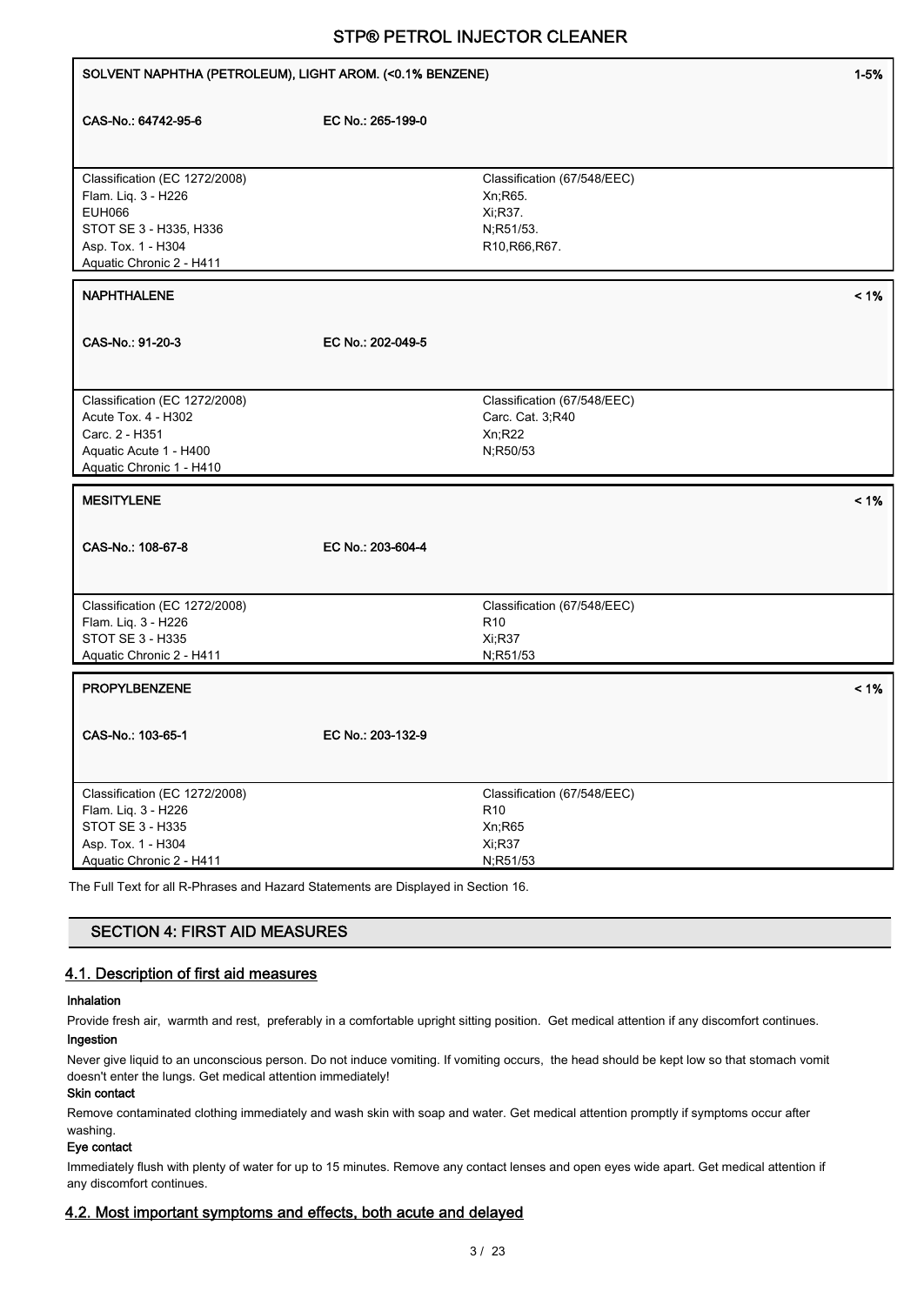| SOLVENT NAPHTHA (PETROLEUM), LIGHT AROM. (< 0.1% BENZENE)                          |                   |                                                | $1 - 5%$ |
|------------------------------------------------------------------------------------|-------------------|------------------------------------------------|----------|
| CAS-No.: 64742-95-6                                                                | EC No.: 265-199-0 |                                                |          |
|                                                                                    |                   |                                                |          |
|                                                                                    |                   |                                                |          |
| Classification (EC 1272/2008)                                                      |                   | Classification (67/548/EEC)                    |          |
| Flam. Liq. 3 - H226                                                                |                   | Xn, R65.                                       |          |
| <b>EUH066</b><br>STOT SE 3 - H335, H336                                            |                   | Xi, R37.                                       |          |
| Asp. Tox. 1 - H304                                                                 |                   | N;R51/53.<br>R10, R66, R67.                    |          |
| Aquatic Chronic 2 - H411                                                           |                   |                                                |          |
| <b>NAPHTHALENE</b>                                                                 |                   |                                                | $< 1\%$  |
|                                                                                    |                   |                                                |          |
| CAS-No.: 91-20-3                                                                   | EC No.: 202-049-5 |                                                |          |
|                                                                                    |                   |                                                |          |
| Classification (EC 1272/2008)                                                      |                   | Classification (67/548/EEC)                    |          |
| Acute Tox. 4 - H302                                                                |                   | Carc. Cat. 3;R40                               |          |
| Carc. 2 - H351                                                                     |                   | Xn; R22                                        |          |
| Aquatic Acute 1 - H400<br>Aquatic Chronic 1 - H410                                 |                   | N;R50/53                                       |          |
|                                                                                    |                   |                                                |          |
| <b>MESITYLENE</b>                                                                  |                   |                                                | $< 1\%$  |
|                                                                                    |                   |                                                |          |
| CAS-No.: 108-67-8                                                                  | EC No.: 203-604-4 |                                                |          |
|                                                                                    |                   |                                                |          |
|                                                                                    |                   |                                                |          |
| Classification (EC 1272/2008)<br>Flam. Liq. 3 - H226                               |                   | Classification (67/548/EEC)<br>R <sub>10</sub> |          |
| STOT SE 3 - H335                                                                   |                   | Xi;R37                                         |          |
| Aquatic Chronic 2 - H411                                                           |                   | N;R51/53                                       |          |
| <b>PROPYLBENZENE</b>                                                               |                   |                                                | $< 1\%$  |
|                                                                                    |                   |                                                |          |
| CAS-No.: 103-65-1                                                                  | EC No.: 203-132-9 |                                                |          |
|                                                                                    |                   |                                                |          |
| Classification (EC 1272/2008)                                                      |                   | Classification (67/548/EEC)                    |          |
| Flam. Liq. 3 - H226                                                                |                   | R <sub>10</sub>                                |          |
| STOT SE 3 - H335                                                                   |                   | Xn;R65                                         |          |
| Asp. Tox. 1 - H304<br>Aquatic Chronic 2 - H411                                     |                   | Xi;R37<br>N;R51/53                             |          |
| The Full Text for all B. Phrases and Hererd Statements are Displayed in Section 16 |                   |                                                |          |

The Full Text for all R-Phrases and Hazard Statements are Displayed in Section 16.

## SECTION 4: FIRST AID MEASURES

## 4.1. Description of first aid measures

### Inhalation

Provide fresh air, warmth and rest, preferably in a comfortable upright sitting position. Get medical attention if any discomfort continues.

## Ingestion

Never give liquid to an unconscious person. Do not induce vomiting. If vomiting occurs, the head should be kept low so that stomach vomit doesn't enter the lungs. Get medical attention immediately!

### Skin contact

Remove contaminated clothing immediately and wash skin with soap and water. Get medical attention promptly if symptoms occur after washing.

### Eye contact

Immediately flush with plenty of water for up to 15 minutes. Remove any contact lenses and open eyes wide apart. Get medical attention if any discomfort continues.

## 4.2. Most important symptoms and effects, both acute and delayed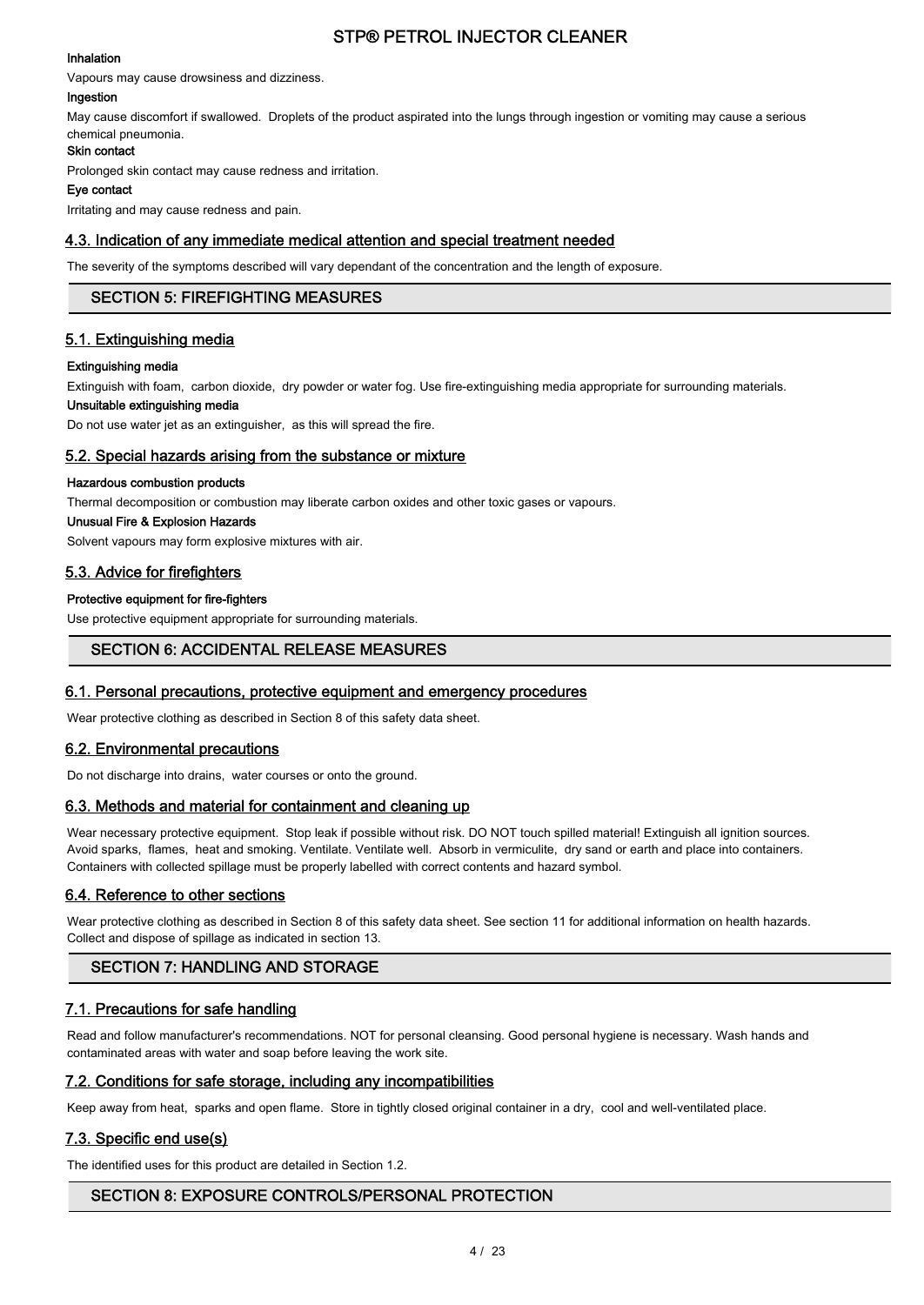#### Inhalation

Vapours may cause drowsiness and dizziness.

### Ingestion

May cause discomfort if swallowed. Droplets of the product aspirated into the lungs through ingestion or vomiting may cause a serious chemical pneumonia.

### Skin contact

Prolonged skin contact may cause redness and irritation.

#### Eye contact

Irritating and may cause redness and pain.

### 4.3. Indication of any immediate medical attention and special treatment needed

The severity of the symptoms described will vary dependant of the concentration and the length of exposure.

### SECTION 5: FIREFIGHTING MEASURES

### 5.1. Extinguishing media

### Extinguishing media

Extinguish with foam, carbon dioxide, dry powder or water fog. Use fire-extinguishing media appropriate for surrounding materials.

### Unsuitable extinguishing media

Do not use water jet as an extinguisher, as this will spread the fire.

### 5.2. Special hazards arising from the substance or mixture

#### Hazardous combustion products

Thermal decomposition or combustion may liberate carbon oxides and other toxic gases or vapours.

#### Unusual Fire & Explosion Hazards

Solvent vapours may form explosive mixtures with air.

## 5.3. Advice for firefighters

### Protective equipment for fire-fighters

Use protective equipment appropriate for surrounding materials.

## SECTION 6: ACCIDENTAL RELEASE MEASURES

### 6.1. Personal precautions, protective equipment and emergency procedures

Wear protective clothing as described in Section 8 of this safety data sheet.

### 6.2. Environmental precautions

Do not discharge into drains, water courses or onto the ground.

### 6.3. Methods and material for containment and cleaning up

Wear necessary protective equipment. Stop leak if possible without risk. DO NOT touch spilled material! Extinguish all ignition sources. Avoid sparks, flames, heat and smoking. Ventilate. Ventilate well. Absorb in vermiculite, dry sand or earth and place into containers. Containers with collected spillage must be properly labelled with correct contents and hazard symbol.

### 6.4. Reference to other sections

Wear protective clothing as described in Section 8 of this safety data sheet. See section 11 for additional information on health hazards. Collect and dispose of spillage as indicated in section 13.

## SECTION 7: HANDLING AND STORAGE

### 7.1. Precautions for safe handling

Read and follow manufacturer's recommendations. NOT for personal cleansing. Good personal hygiene is necessary. Wash hands and contaminated areas with water and soap before leaving the work site.

### 7.2. Conditions for safe storage, including any incompatibilities

Keep away from heat, sparks and open flame. Store in tightly closed original container in a dry, cool and well-ventilated place.

### 7.3. Specific end use(s)

The identified uses for this product are detailed in Section 1.2.

## SECTION 8: EXPOSURE CONTROLS/PERSONAL PROTECTION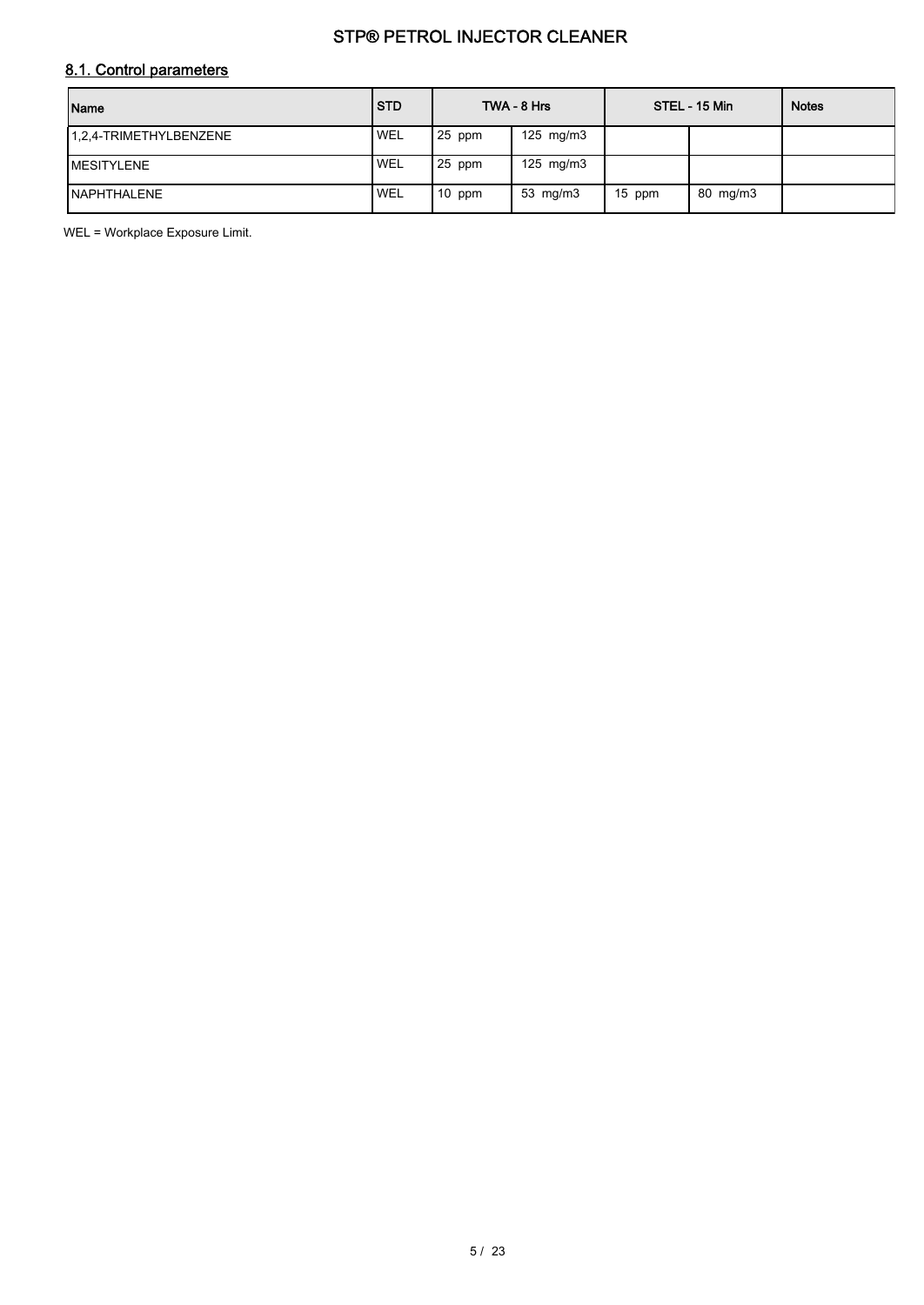## 8.1. Control parameters

| Name                   | <b>STD</b> |        | TWA - 8 Hrs  |        | STEL - 15 Min | <b>Notes</b> |
|------------------------|------------|--------|--------------|--------|---------------|--------------|
| 1.2.4-TRIMETHYLBENZENE | <b>WEL</b> | 25 ppm | 125 mg/m $3$ |        |               |              |
| <b>IMESITYLENE</b>     | ' WEL      | 25 ppm | 125 mg/m $3$ |        |               |              |
| <b>INAPHTHALENE</b>    | ' WEL      | 10 ppm | 53 $mg/m3$   | 15 ppm | 80 mg/m3      |              |

WEL = Workplace Exposure Limit.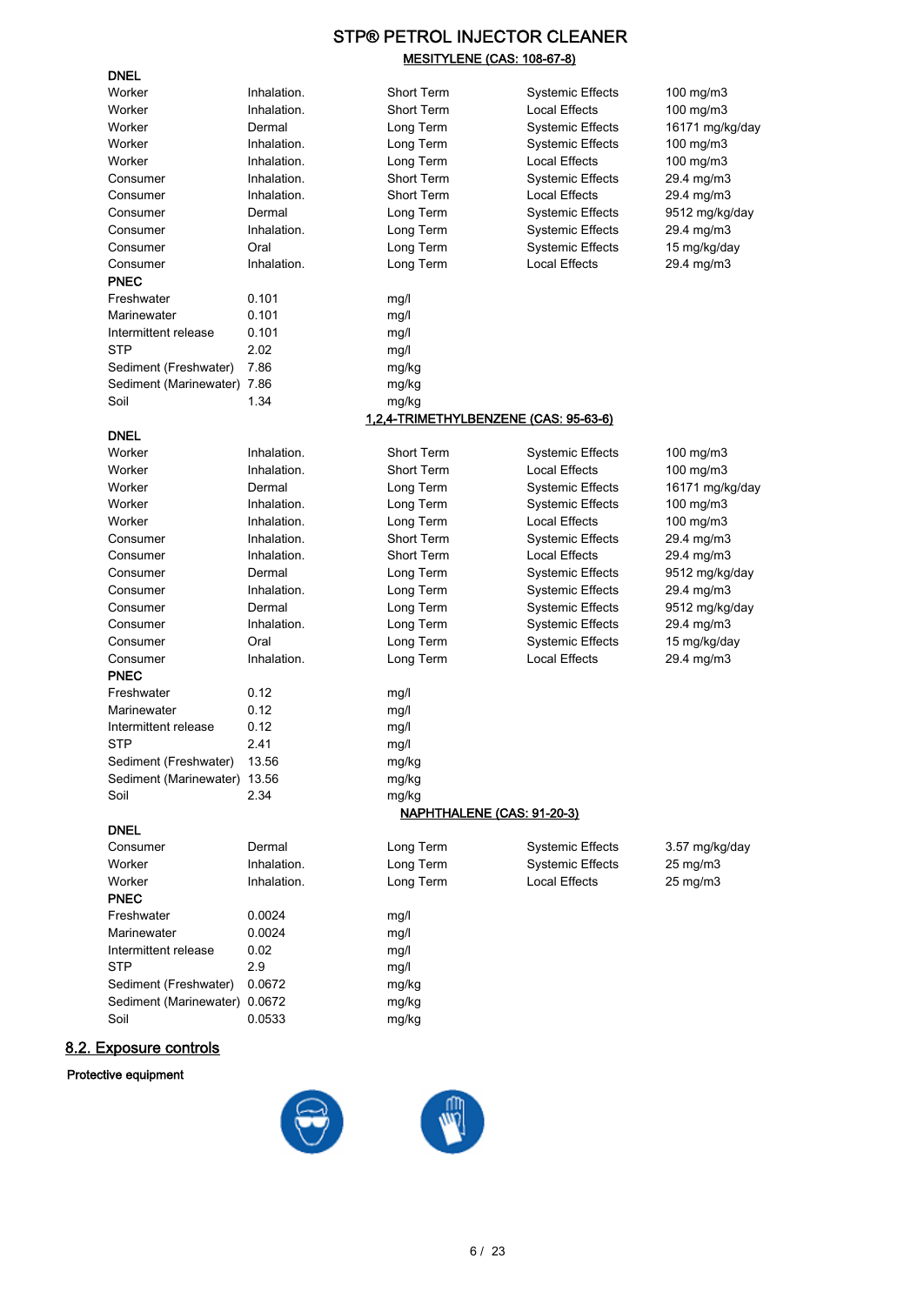## STP® PETROL INJECTOR CLEANER MESITYLENE (CAS: 108-67-8)

| <b>DNEL</b>                   |             |                                       |                         |                 |
|-------------------------------|-------------|---------------------------------------|-------------------------|-----------------|
| Worker                        | Inhalation. | Short Term                            | <b>Systemic Effects</b> | 100 mg/m3       |
| Worker                        | Inhalation. | Short Term                            | Local Effects           | 100 mg/m3       |
| Worker                        | Dermal      | Long Term                             | <b>Systemic Effects</b> | 16171 mg/kg/day |
| Worker                        | Inhalation. | Long Term                             | <b>Systemic Effects</b> | $100$ mg/m $3$  |
| Worker                        | Inhalation. | Long Term                             | Local Effects           | 100 mg/m3       |
| Consumer                      | Inhalation. | Short Term                            | <b>Systemic Effects</b> | 29.4 mg/m3      |
| Consumer                      | Inhalation. | <b>Short Term</b>                     | Local Effects           | 29.4 mg/m3      |
| Consumer                      | Dermal      | Long Term                             | <b>Systemic Effects</b> | 9512 mg/kg/day  |
| Consumer                      | Inhalation. | Long Term                             | <b>Systemic Effects</b> | 29.4 mg/m3      |
| Consumer                      | Oral        | Long Term                             | <b>Systemic Effects</b> | 15 mg/kg/day    |
| Consumer                      | Inhalation. | Long Term                             | Local Effects           | 29.4 mg/m3      |
| <b>PNEC</b>                   |             |                                       |                         |                 |
| Freshwater                    | 0.101       | mg/l                                  |                         |                 |
| Marinewater                   | 0.101       | mg/l                                  |                         |                 |
| Intermittent release          | 0.101       | mg/l                                  |                         |                 |
| <b>STP</b>                    | 2.02        | mg/l                                  |                         |                 |
| Sediment (Freshwater)         | 7.86        | mg/kg                                 |                         |                 |
| Sediment (Marinewater) 7.86   |             | mg/kg                                 |                         |                 |
| Soil                          | 1.34        | mg/kg                                 |                         |                 |
|                               |             | 1,2,4-TRIMETHYLBENZENE (CAS: 95-63-6) |                         |                 |
| <b>DNEL</b>                   |             |                                       |                         |                 |
| Worker                        | Inhalation. | <b>Short Term</b>                     | <b>Systemic Effects</b> | $100$ mg/m $3$  |
| Worker                        | Inhalation. | <b>Short Term</b>                     | Local Effects           | $100$ mg/m $3$  |
| Worker                        | Dermal      | Long Term                             | <b>Systemic Effects</b> | 16171 mg/kg/day |
| Worker                        | Inhalation. | Long Term                             | Systemic Effects        | 100 mg/m3       |
| Worker                        | Inhalation. | Long Term                             | <b>Local Effects</b>    | 100 mg/m3       |
| Consumer                      | Inhalation. | <b>Short Term</b>                     | Systemic Effects        | 29.4 mg/m3      |
| Consumer                      | Inhalation. | Short Term                            | Local Effects           | 29.4 mg/m3      |
| Consumer                      | Dermal      | Long Term                             | Systemic Effects        | 9512 mg/kg/day  |
| Consumer                      | Inhalation. | Long Term                             | <b>Systemic Effects</b> | 29.4 mg/m3      |
| Consumer                      | Dermal      | Long Term                             | <b>Systemic Effects</b> | 9512 mg/kg/day  |
| Consumer                      | Inhalation. | Long Term                             | <b>Systemic Effects</b> | 29.4 mg/m3      |
| Consumer                      | Oral        | Long Term                             | <b>Systemic Effects</b> | 15 mg/kg/day    |
| Consumer                      | Inhalation. | Long Term                             | <b>Local Effects</b>    | 29.4 mg/m3      |
| <b>PNEC</b>                   |             |                                       |                         |                 |
| Freshwater                    | 0.12        | mg/l                                  |                         |                 |
| Marinewater                   | 0.12        | mg/l                                  |                         |                 |
| Intermittent release          | 0.12        | mg/l                                  |                         |                 |
| <b>STP</b>                    | 2.41        | mg/l                                  |                         |                 |
| Sediment (Freshwater)         | 13.56       | mg/kg                                 |                         |                 |
| Sediment (Marinewater) 13.56  |             | mg/kg                                 |                         |                 |
| Soil                          | 2.34        | mg/kg                                 |                         |                 |
|                               |             | <u>NAPHTHALENE (CAS: 91-20-3)</u>     |                         |                 |
| <b>DNEL</b>                   |             |                                       |                         |                 |
| Consumer                      | Dermal      | Long Term                             | <b>Systemic Effects</b> | 3.57 mg/kg/day  |
| Worker                        | Inhalation. | Long Term                             | <b>Systemic Effects</b> | 25 mg/m3        |
| Worker                        | Inhalation. | Long Term                             | Local Effects           | 25 mg/m3        |
| <b>PNEC</b>                   |             |                                       |                         |                 |
| Freshwater                    | 0.0024      | mg/l                                  |                         |                 |
| Marinewater                   | 0.0024      | mg/l                                  |                         |                 |
| Intermittent release          | 0.02        | mg/l                                  |                         |                 |
| <b>STP</b>                    | 2.9         | mg/l                                  |                         |                 |
| Sediment (Freshwater)         | 0.0672      | mg/kg                                 |                         |                 |
| Sediment (Marinewater) 0.0672 |             | mg/kg                                 |                         |                 |
| Soil                          | 0.0533      | mg/kg                                 |                         |                 |

## 8.2. Exposure controls

## Protective equipment

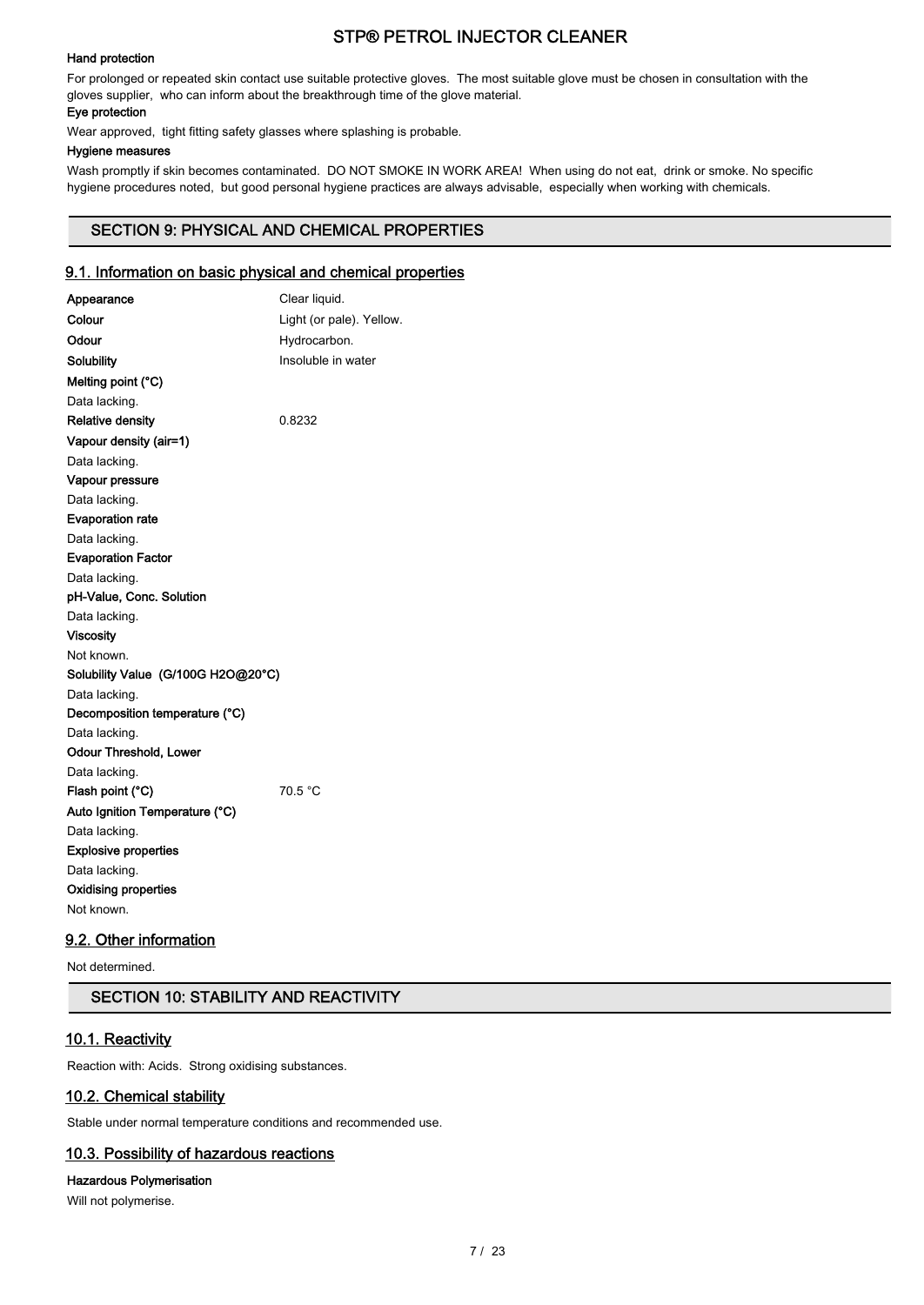### Hand protection

For prolonged or repeated skin contact use suitable protective gloves. The most suitable glove must be chosen in consultation with the gloves supplier, who can inform about the breakthrough time of the glove material.

### Eye protection

Wear approved, tight fitting safety glasses where splashing is probable.

### Hygiene measures

Wash promptly if skin becomes contaminated. DO NOT SMOKE IN WORK AREA! When using do not eat, drink or smoke. No specific hygiene procedures noted, but good personal hygiene practices are always advisable, especially when working with chemicals.

## SECTION 9: PHYSICAL AND CHEMICAL PROPERTIES

## 9.1. Information on basic physical and chemical properties

| Appearance                         | Clear liquid.            |
|------------------------------------|--------------------------|
| Colour                             | Light (or pale). Yellow. |
| Odour                              | Hydrocarbon.             |
| Solubility                         | Insoluble in water       |
| Melting point (°C)                 |                          |
| Data lacking.                      |                          |
| <b>Relative density</b>            | 0.8232                   |
| Vapour density (air=1)             |                          |
| Data lacking.                      |                          |
| Vapour pressure                    |                          |
| Data lacking.                      |                          |
| <b>Evaporation rate</b>            |                          |
| Data lacking.                      |                          |
| <b>Evaporation Factor</b>          |                          |
| Data lacking.                      |                          |
| pH-Value, Conc. Solution           |                          |
| Data lacking.                      |                          |
| <b>Viscosity</b>                   |                          |
| Not known.                         |                          |
| Solubility Value (G/100G H2O@20°C) |                          |
| Data lacking.                      |                          |
| Decomposition temperature (°C)     |                          |
| Data lacking.                      |                          |
| <b>Odour Threshold, Lower</b>      |                          |
| Data lacking.                      |                          |
| Flash point (°C)                   | 70.5 °C                  |
| Auto Ignition Temperature (°C)     |                          |
| Data lacking.                      |                          |
| <b>Explosive properties</b>        |                          |
| Data lacking.                      |                          |
| <b>Oxidising properties</b>        |                          |
| Not known.                         |                          |

## 9.2. Other information

Not determined.

## SECTION 10: STABILITY AND REACTIVITY

### 10.1. Reactivity

Reaction with: Acids. Strong oxidising substances.

## 10.2. Chemical stability

Stable under normal temperature conditions and recommended use.

## 10.3. Possibility of hazardous reactions

## Hazardous Polymerisation

Will not polymerise.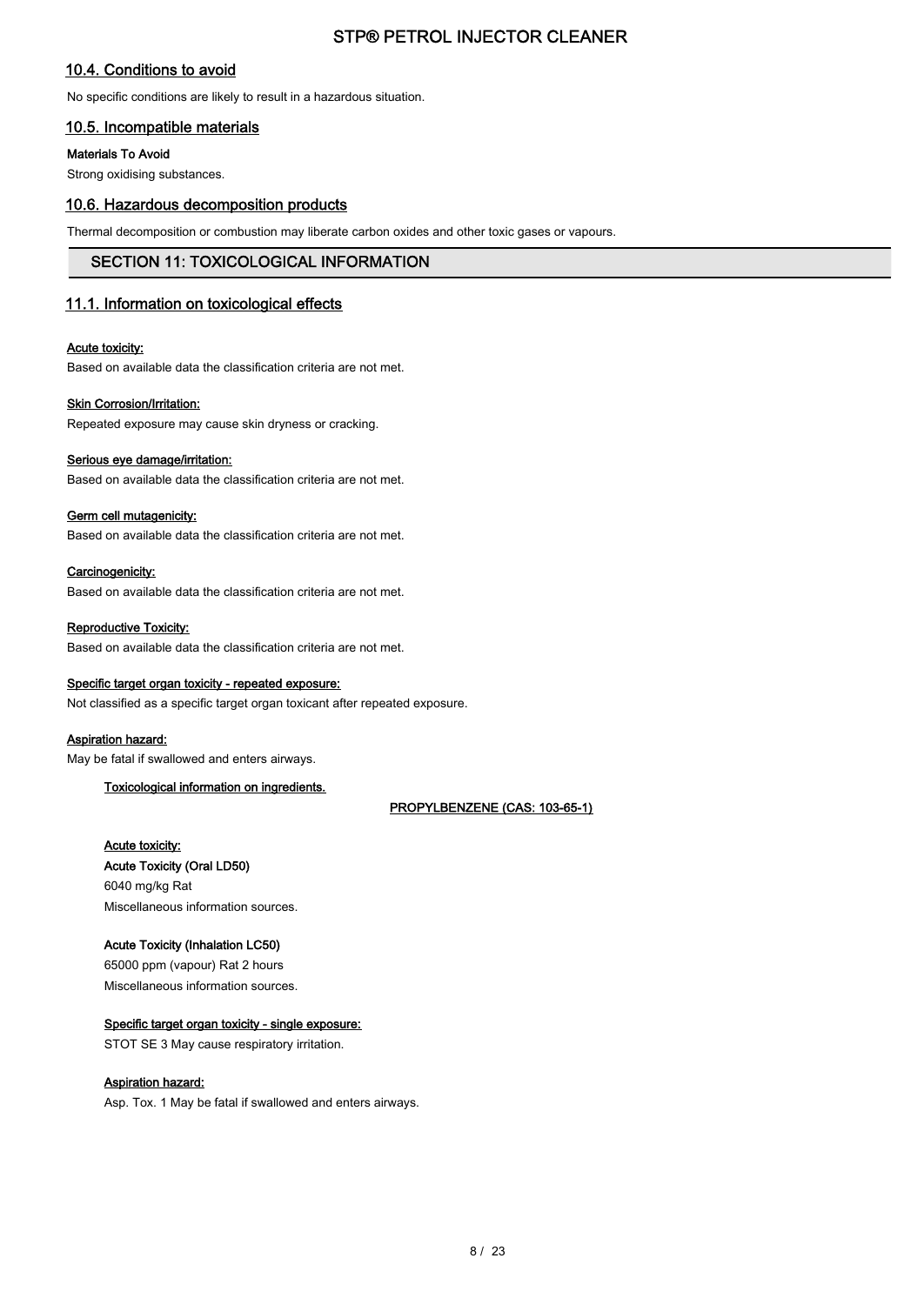## 10.4. Conditions to avoid

No specific conditions are likely to result in a hazardous situation.

## 10.5. Incompatible materials

### Materials To Avoid

Strong oxidising substances.

## 10.6. Hazardous decomposition products

Thermal decomposition or combustion may liberate carbon oxides and other toxic gases or vapours.

## SECTION 11: TOXICOLOGICAL INFORMATION

## 11.1. Information on toxicological effects

### Acute toxicity:

Based on available data the classification criteria are not met.

### Skin Corrosion/Irritation:

Repeated exposure may cause skin dryness or cracking.

### Serious eye damage/irritation:

Based on available data the classification criteria are not met.

### Germ cell mutagenicity:

Based on available data the classification criteria are not met.

### Carcinogenicity:

Based on available data the classification criteria are not met.

### Reproductive Toxicity:

Based on available data the classification criteria are not met.

### Specific target organ toxicity - repeated exposure:

Not classified as a specific target organ toxicant after repeated exposure.

### Aspiration hazard:

May be fatal if swallowed and enters airways.

### Toxicological information on ingredients.

PROPYLBENZENE (CAS: 103-65-1)

## Acute toxicity:

Acute Toxicity (Oral LD50) 6040 mg/kg Rat Miscellaneous information sources.

### Acute Toxicity (Inhalation LC50)

65000 ppm (vapour) Rat 2 hours Miscellaneous information sources.

### Specific target organ toxicity - single exposure:

STOT SE 3 May cause respiratory irritation.

### Aspiration hazard:

Asp. Tox. 1 May be fatal if swallowed and enters airways.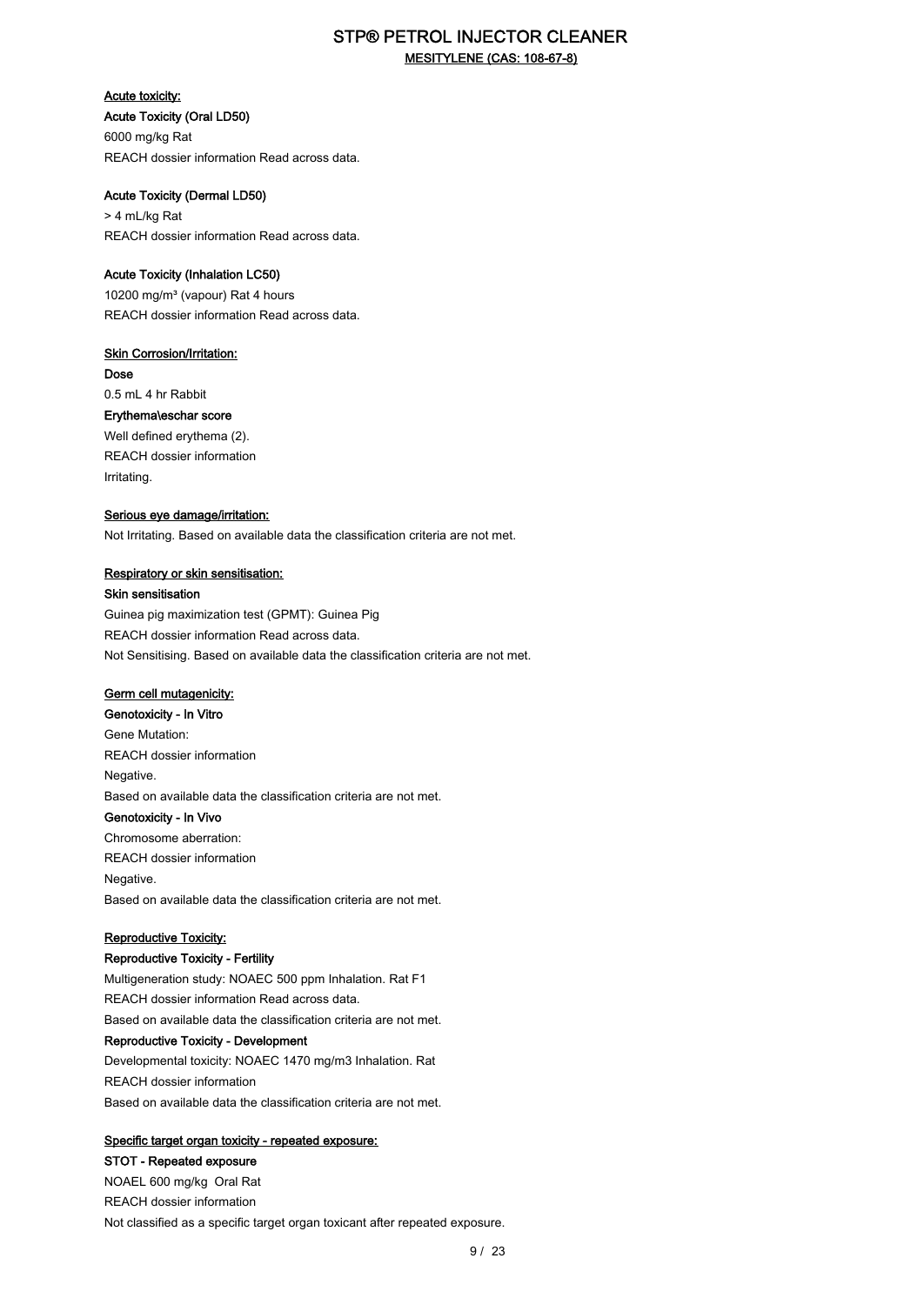## STP® PETROL INJECTOR CLEANER MESITYLENE (CAS: 108-67-8)

Acute toxicity: Acute Toxicity (Oral LD50) 6000 mg/kg Rat REACH dossier information Read across data.

### Acute Toxicity (Dermal LD50) > 4 mL/kg Rat

REACH dossier information Read across data.

### Acute Toxicity (Inhalation LC50)

10200 mg/m<sup>3</sup> (vapour) Rat 4 hours REACH dossier information Read across data.

### **Skin Corrosion/Irritation:**

Dose 0.5 mL 4 hr Rabbit Erythema\eschar score Well defined erythema (2). REACH dossier information Irritating.

## Serious eye damage/irritation:

Not Irritating. Based on available data the classification criteria are not met.

### Respiratory or skin sensitisation:

Skin sensitisation

Guinea pig maximization test (GPMT): Guinea Pig REACH dossier information Read across data. Not Sensitising. Based on available data the classification criteria are not met.

## Germ cell mutagenicity:

Genotoxicity - In Vitro Gene Mutation: REACH dossier information Negative. Based on available data the classification criteria are not met. Genotoxicity - In Vivo Chromosome aberration: REACH dossier information Negative. Based on available data the classification criteria are not met.

### Reproductive Toxicity:

### Reproductive Toxicity - Fertility

Multigeneration study: NOAEC 500 ppm Inhalation. Rat F1 REACH dossier information Read across data. Based on available data the classification criteria are not met. Reproductive Toxicity - Development Developmental toxicity: NOAEC 1470 mg/m3 Inhalation. Rat REACH dossier information Based on available data the classification criteria are not met.

### Specific target organ toxicity - repeated exposure:

STOT - Repeated exposure NOAEL 600 mg/kg Oral Rat REACH dossier information Not classified as a specific target organ toxicant after repeated exposure.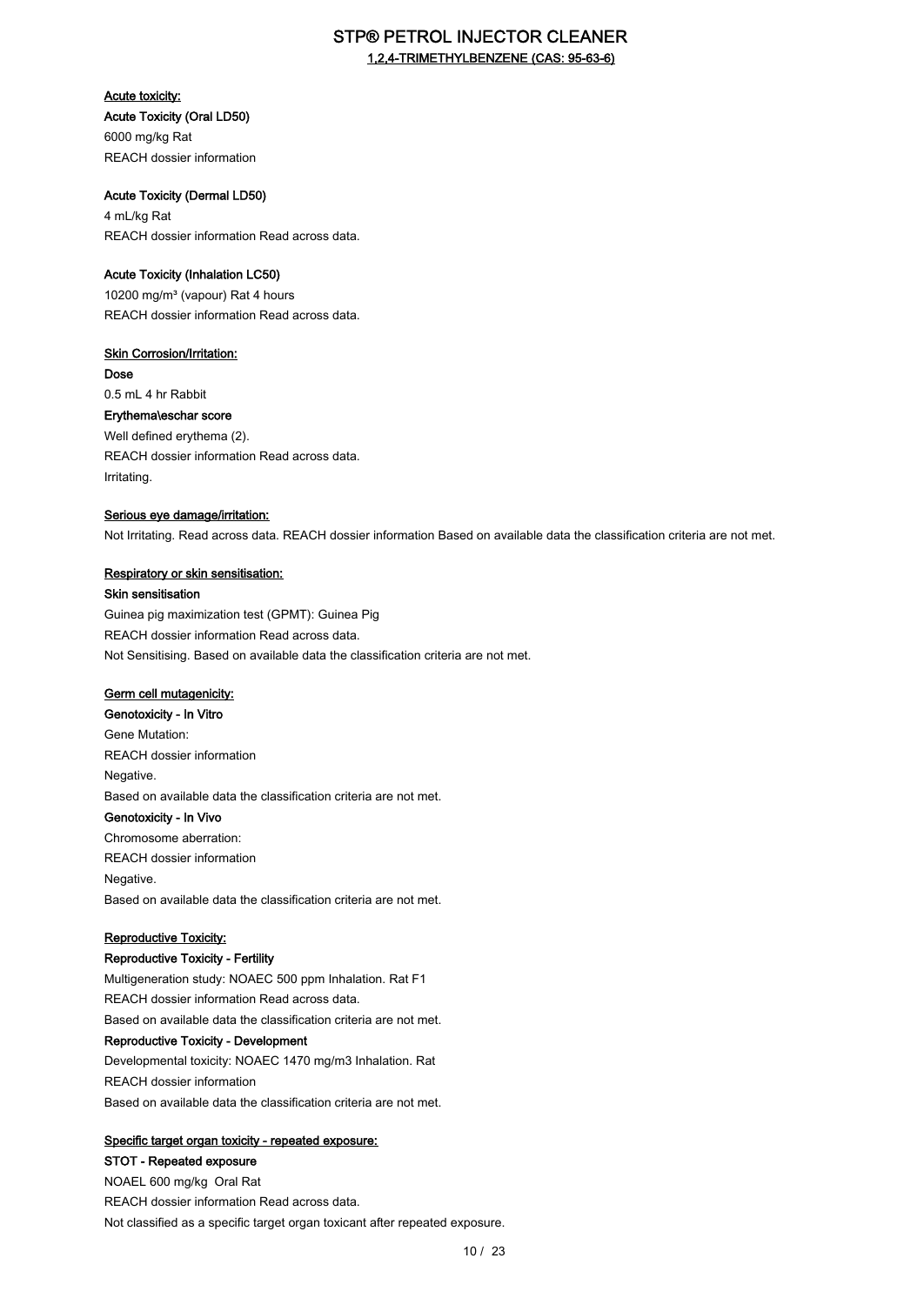## STP® PETROL INJECTOR CLEANER 1,2,4-TRIMETHYLBENZENE (CAS: 95-63-6)

Acute toxicity: Acute Toxicity (Oral LD50)

6000 mg/kg Rat REACH dossier information

## Acute Toxicity (Dermal LD50)

4 mL/kg Rat REACH dossier information Read across data.

### Acute Toxicity (Inhalation LC50)

10200 mg/m<sup>3</sup> (vapour) Rat 4 hours REACH dossier information Read across data.

## **Skin Corrosion/Irritation:**

Dose 0.5 mL 4 hr Rabbit Erythema\eschar score Well defined erythema (2). REACH dossier information Read across data. Irritating.

### Serious eye damage/irritation:

Not Irritating. Read across data. REACH dossier information Based on available data the classification criteria are not met.

### Respiratory or skin sensitisation:

### Skin sensitisation

Guinea pig maximization test (GPMT): Guinea Pig REACH dossier information Read across data. Not Sensitising. Based on available data the classification criteria are not met.

## Germ cell mutagenicity:

Genotoxicity - In Vitro Gene Mutation: REACH dossier information Negative. Based on available data the classification criteria are not met. Genotoxicity - In Vivo Chromosome aberration: REACH dossier information Negative. Based on available data the classification criteria are not met.

### Reproductive Toxicity:

### Reproductive Toxicity - Fertility

Multigeneration study: NOAEC 500 ppm Inhalation. Rat F1 REACH dossier information Read across data. Based on available data the classification criteria are not met. Reproductive Toxicity - Development Developmental toxicity: NOAEC 1470 mg/m3 Inhalation. Rat REACH dossier information Based on available data the classification criteria are not met.

### Specific target organ toxicity - repeated exposure:

## STOT - Repeated exposure

NOAEL 600 mg/kg Oral Rat REACH dossier information Read across data. Not classified as a specific target organ toxicant after repeated exposure.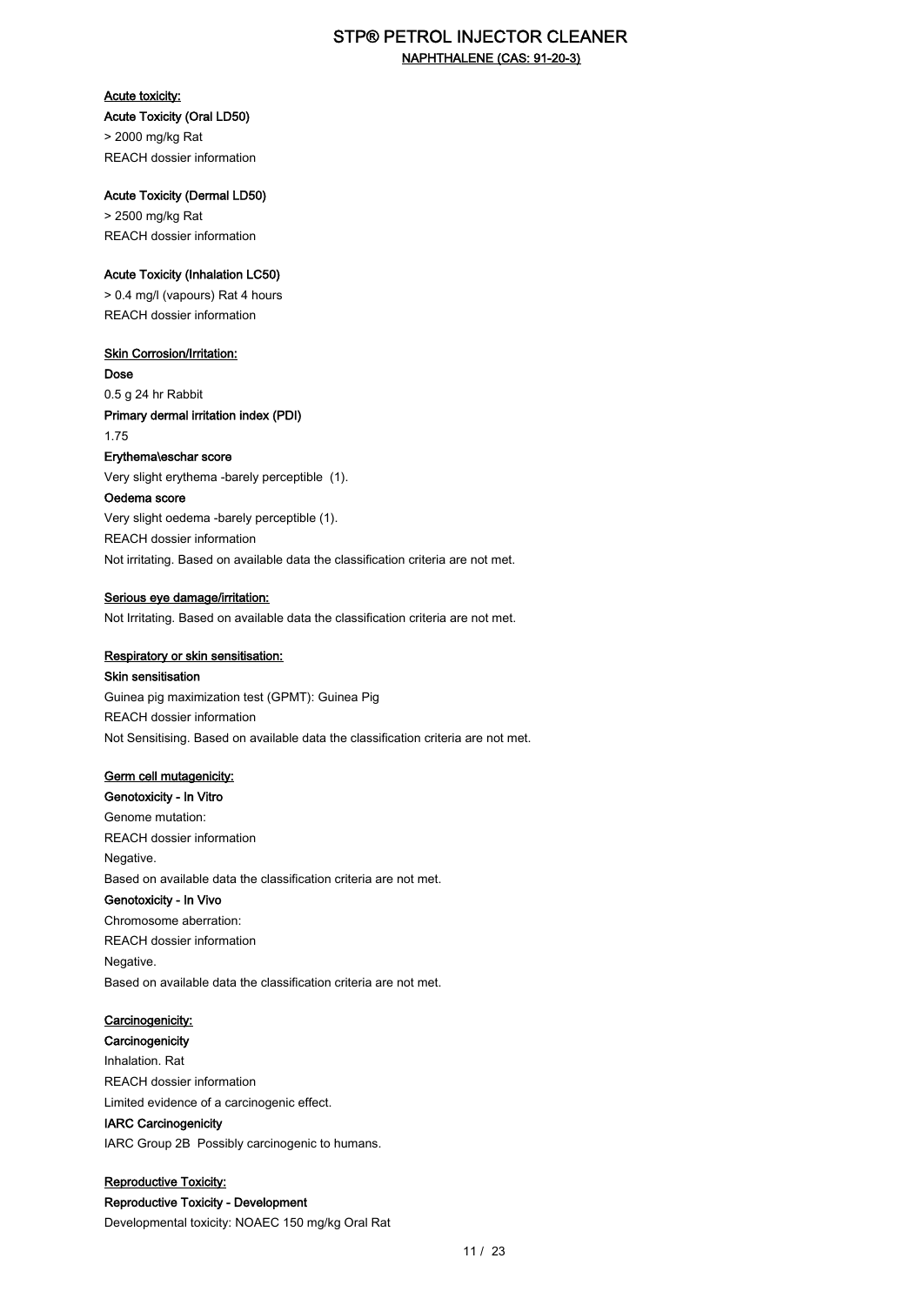## STP® PETROL INJECTOR CLEANER NAPHTHALENE (CAS: 91-20-3)

#### Acute toxicity:

Acute Toxicity (Oral LD50) > 2000 mg/kg Rat REACH dossier information

Acute Toxicity (Dermal LD50)

> 2500 mg/kg Rat REACH dossier information

### Acute Toxicity (Inhalation LC50)

> 0.4 mg/l (vapours) Rat 4 hours REACH dossier information

### **Skin Corrosion/Irritation:**

Dose 0.5 g 24 hr Rabbit Primary dermal irritation index (PDI) 1.75

### Erythema\eschar score

Very slight erythema -barely perceptible (1).

### Oedema score

Very slight oedema -barely perceptible (1). REACH dossier information Not irritating. Based on available data the classification criteria are not met.

### Serious eye damage/irritation:

Not Irritating. Based on available data the classification criteria are not met.

### Respiratory or skin sensitisation:

### Skin sensitisation

Guinea pig maximization test (GPMT): Guinea Pig REACH dossier information Not Sensitising. Based on available data the classification criteria are not met.

### Germ cell mutagenicity:

Genotoxicity - In Vitro Genome mutation: REACH dossier information Negative. Based on available data the classification criteria are not met. Genotoxicity - In Vivo Chromosome aberration: REACH dossier information Negative. Based on available data the classification criteria are not met.

### Carcinogenicity:

**Carcinogenicity** Inhalation. Rat REACH dossier information Limited evidence of a carcinogenic effect. IARC Carcinogenicity

IARC Group 2B Possibly carcinogenic to humans.

Reproductive Toxicity: Reproductive Toxicity - Development Developmental toxicity: NOAEC 150 mg/kg Oral Rat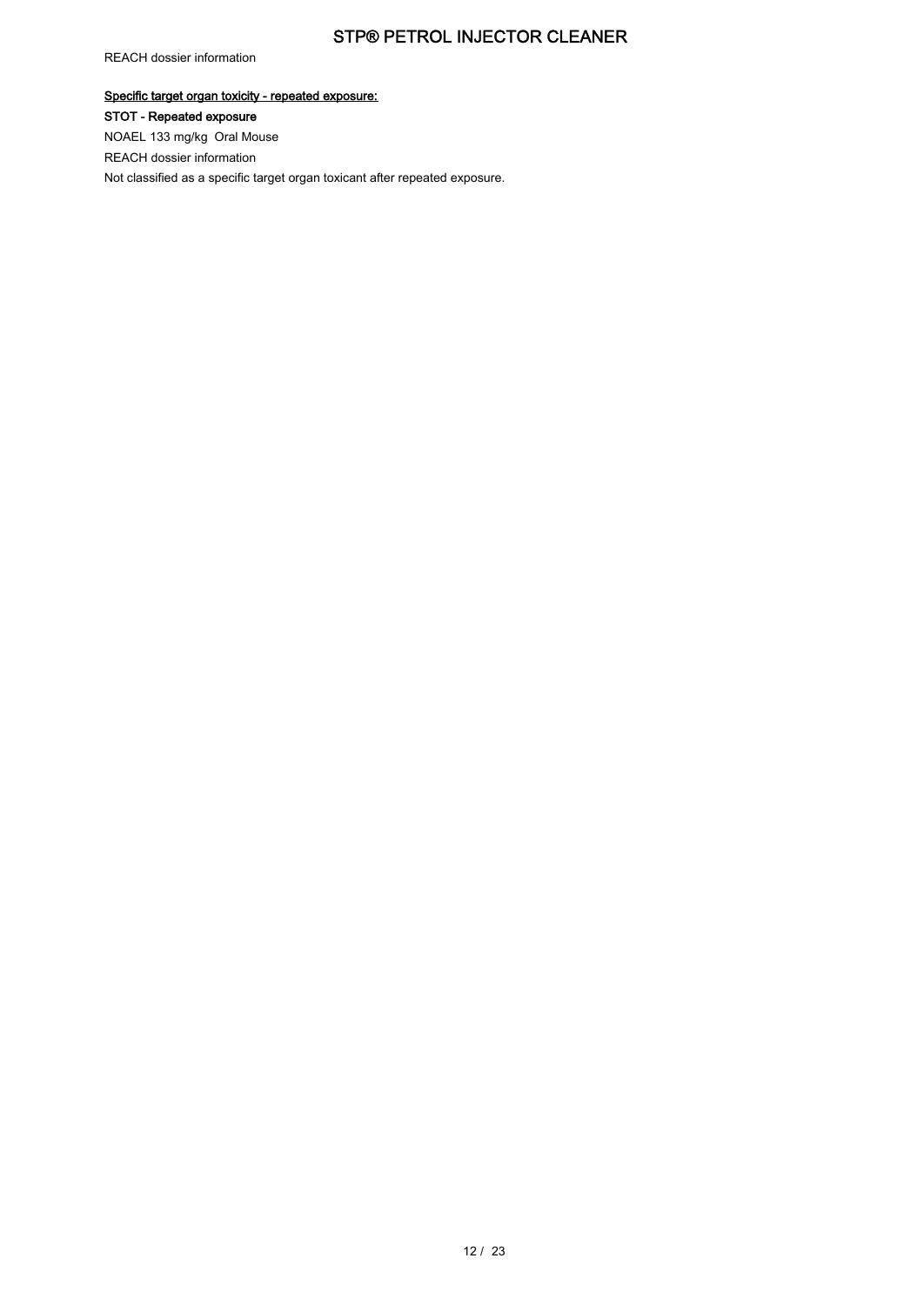REACH dossier information

Specific target organ toxicity - repeated exposure: STOT - Repeated exposure NOAEL 133 mg/kg Oral Mouse REACH dossier information Not classified as a specific target organ toxicant after repeated exposure.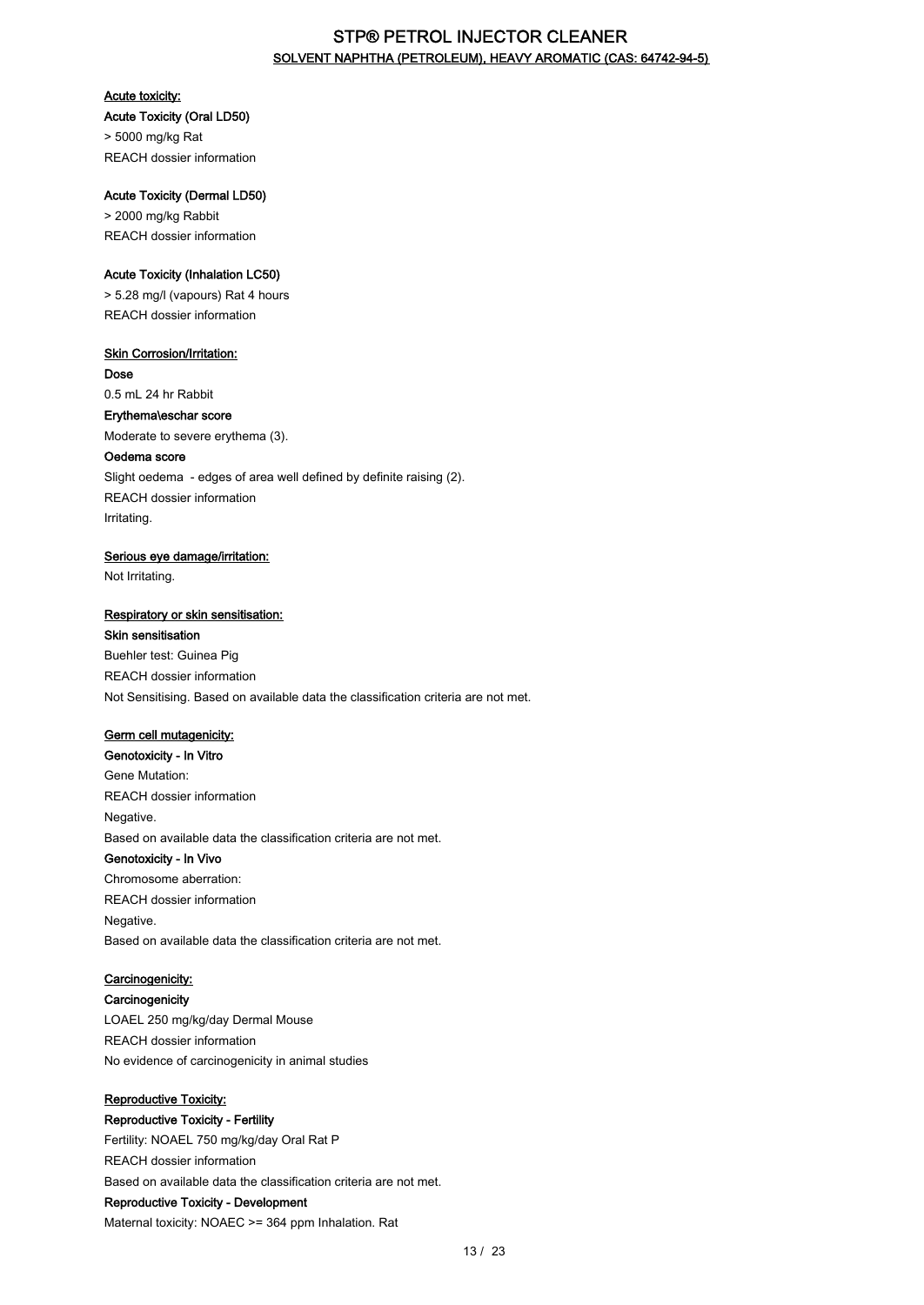## STP® PETROL INJECTOR CLEANER SOLVENT NAPHTHA (PETROLEUM), HEAVY AROMATIC (CAS: 64742-94-5)

### Acute toxicity:

## Acute Toxicity (Oral LD50) > 5000 mg/kg Rat

REACH dossier information

### Acute Toxicity (Dermal LD50)

> 2000 mg/kg Rabbit REACH dossier information

### Acute Toxicity (Inhalation LC50)

> 5.28 mg/l (vapours) Rat 4 hours REACH dossier information

## **Skin Corrosion/Irritation:**

Dose 0.5 mL 24 hr Rabbit Erythema\eschar score

Moderate to severe erythema (3).

### Oedema score

Slight oedema - edges of area well defined by definite raising (2). REACH dossier information Irritating.

### Serious eye damage/irritation:

Not Irritating.

### Respiratory or skin sensitisation:

### Skin sensitisation

Buehler test: Guinea Pig REACH dossier information Not Sensitising. Based on available data the classification criteria are not met.

### Germ cell mutagenicity:

Genotoxicity - In Vitro Gene Mutation: REACH dossier information Negative. Based on available data the classification criteria are not met.

### Genotoxicity - In Vivo

Chromosome aberration: REACH dossier information Negative. Based on available data the classification criteria are not met.

## Carcinogenicity:

**Carcinogenicity** LOAEL 250 mg/kg/day Dermal Mouse REACH dossier information No evidence of carcinogenicity in animal studies

### Reproductive Toxicity:

Reproductive Toxicity - Fertility Fertility: NOAEL 750 mg/kg/day Oral Rat P REACH dossier information Based on available data the classification criteria are not met. Reproductive Toxicity - Development Maternal toxicity: NOAEC >= 364 ppm Inhalation. Rat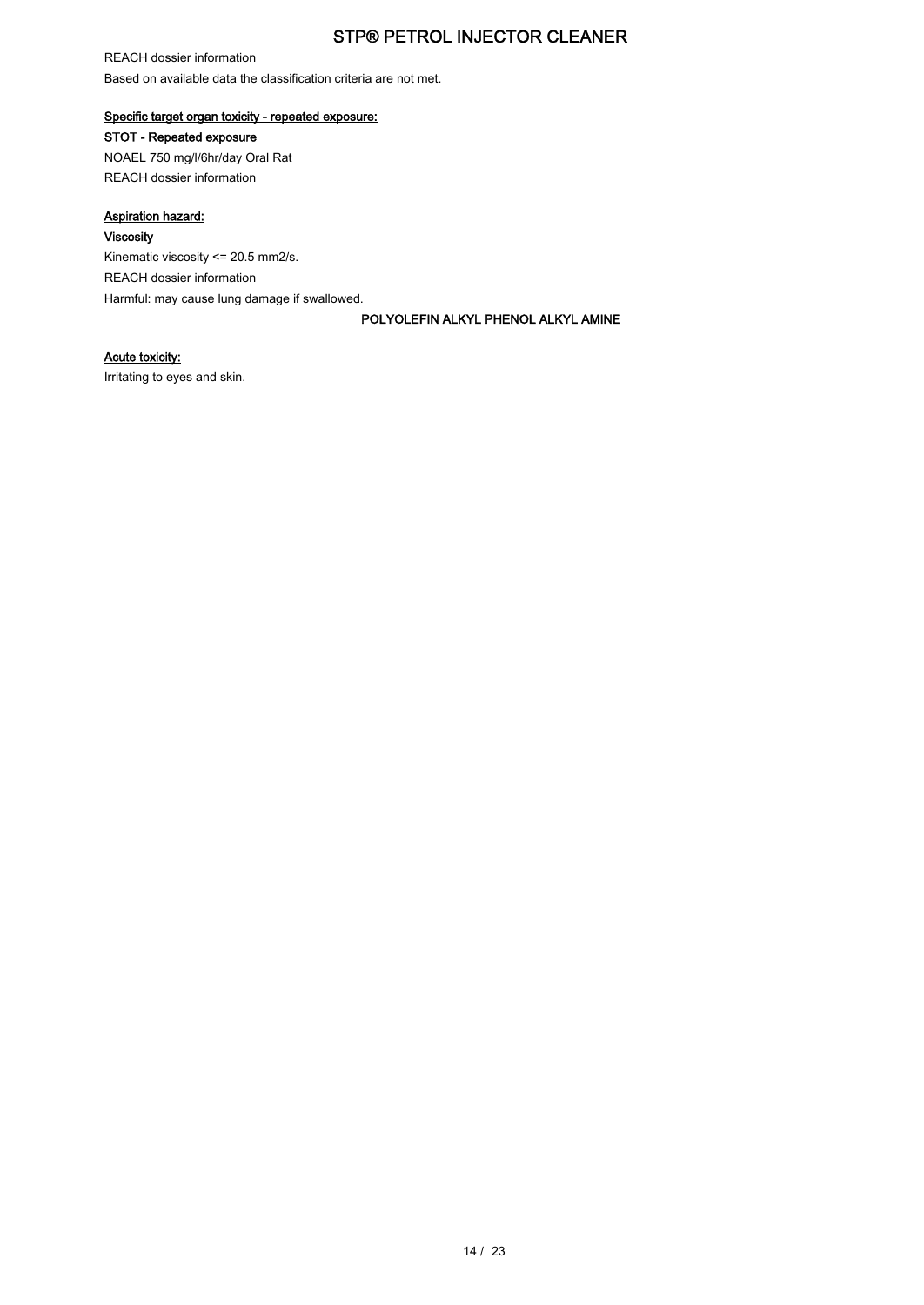REACH dossier information Based on available data the classification criteria are not met.

## Specific target organ toxicity - repeated exposure:

STOT - Repeated exposure

NOAEL 750 mg/l/6hr/day Oral Rat REACH dossier information

### Aspiration hazard:

### Viscosity

Kinematic viscosity <= 20.5 mm2/s. REACH dossier information Harmful: may cause lung damage if swallowed.

POLYOLEFIN ALKYL PHENOL ALKYL AMINE

### Acute toxicity:

Irritating to eyes and skin.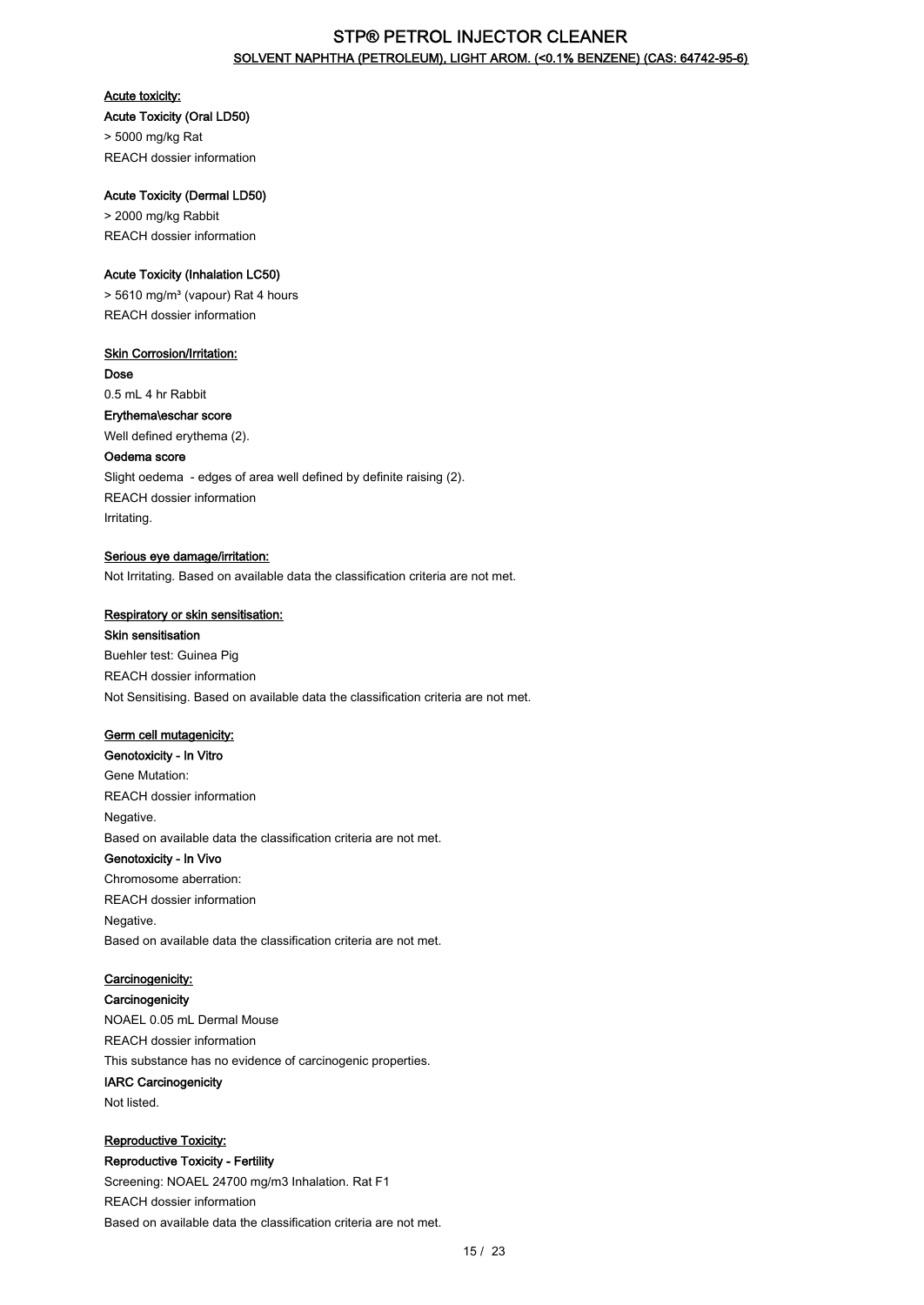## STP® PETROL INJECTOR CLEANER SOLVENT NAPHTHA (PETROLEUM), LIGHT AROM. (<0.1% BENZENE) (CAS: 64742-95-6)

### Acute toxicity:

## Acute Toxicity (Oral LD50)

> 5000 mg/kg Rat REACH dossier information

### Acute Toxicity (Dermal LD50)

> 2000 mg/kg Rabbit REACH dossier information

### Acute Toxicity (Inhalation LC50)

> 5610 mg/m³ (vapour) Rat 4 hours REACH dossier information

## **Skin Corrosion/Irritation:**

Dose 0.5 mL 4 hr Rabbit

# Erythema\eschar score

Well defined erythema (2).

## Oedema score

Slight oedema - edges of area well defined by definite raising (2). REACH dossier information Irritating.

### Serious eye damage/irritation:

Not Irritating. Based on available data the classification criteria are not met.

### Respiratory or skin sensitisation:

### Skin sensitisation

Buehler test: Guinea Pig REACH dossier information Not Sensitising. Based on available data the classification criteria are not met.

### Germ cell mutagenicity:

Genotoxicity - In Vitro Gene Mutation: REACH dossier information Negative. Based on available data the classification criteria are not met.

### Genotoxicity - In Vivo

Chromosome aberration: REACH dossier information Negative. Based on available data the classification criteria are not met.

## Carcinogenicity:

**Carcinogenicity** 

NOAEL 0.05 mL Dermal Mouse REACH dossier information This substance has no evidence of carcinogenic properties. IARC Carcinogenicity Not listed.

## Reproductive Toxicity:

Reproductive Toxicity - Fertility Screening: NOAEL 24700 mg/m3 Inhalation. Rat F1 REACH dossier information Based on available data the classification criteria are not met.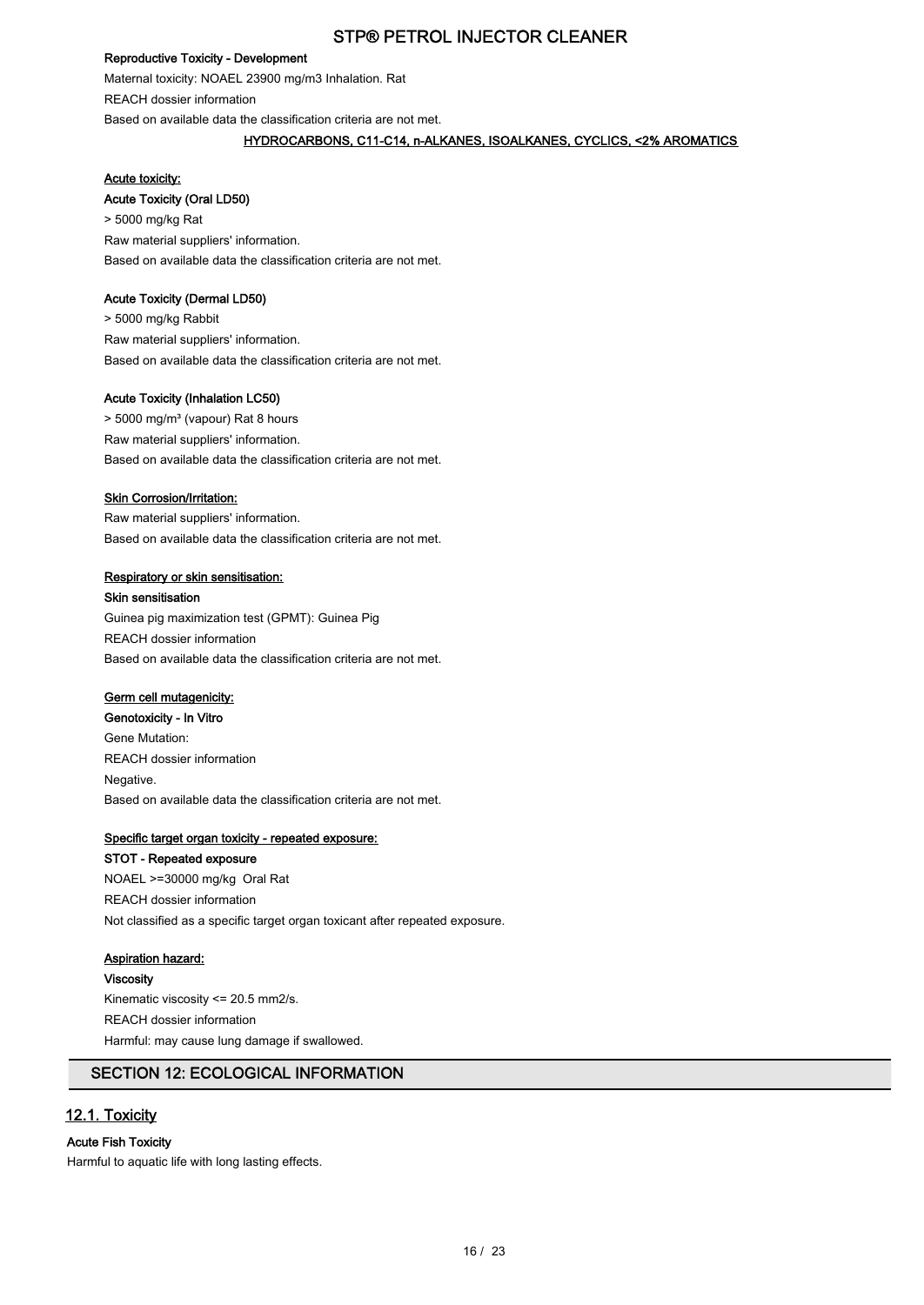### Reproductive Toxicity - Development

Maternal toxicity: NOAEL 23900 mg/m3 Inhalation. Rat REACH dossier information Based on available data the classification criteria are not met.

### HYDROCARBONS, C11-C14, n-ALKANES, ISOALKANES, CYCLICS, <2% AROMATICS

#### Acute toxicity:

#### Acute Toxicity (Oral LD50)

> 5000 mg/kg Rat Raw material suppliers' information. Based on available data the classification criteria are not met.

#### Acute Toxicity (Dermal LD50)

> 5000 mg/kg Rabbit Raw material suppliers' information. Based on available data the classification criteria are not met.

### Acute Toxicity (Inhalation LC50)

> 5000 mg/m<sup>3</sup> (vapour) Rat 8 hours Raw material suppliers' information. Based on available data the classification criteria are not met.

#### **Skin Corrosion/Irritation:**

Raw material suppliers' information. Based on available data the classification criteria are not met.

#### Respiratory or skin sensitisation:

Skin sensitisation Guinea pig maximization test (GPMT): Guinea Pig REACH dossier information Based on available data the classification criteria are not met.

## Germ cell mutagenicity:

Genotoxicity - In Vitro Gene Mutation: REACH dossier information Negative. Based on available data the classification criteria are not met.

#### Specific target organ toxicity - repeated exposure:

STOT - Repeated exposure NOAEL >=30000 mg/kg Oral Rat REACH dossier information Not classified as a specific target organ toxicant after repeated exposure.

## Aspiration hazard:

Viscosity

Kinematic viscosity <= 20.5 mm2/s. REACH dossier information Harmful: may cause lung damage if swallowed.

## SECTION 12: ECOLOGICAL INFORMATION

### 12.1. Toxicity

### Acute Fish Toxicity

Harmful to aquatic life with long lasting effects.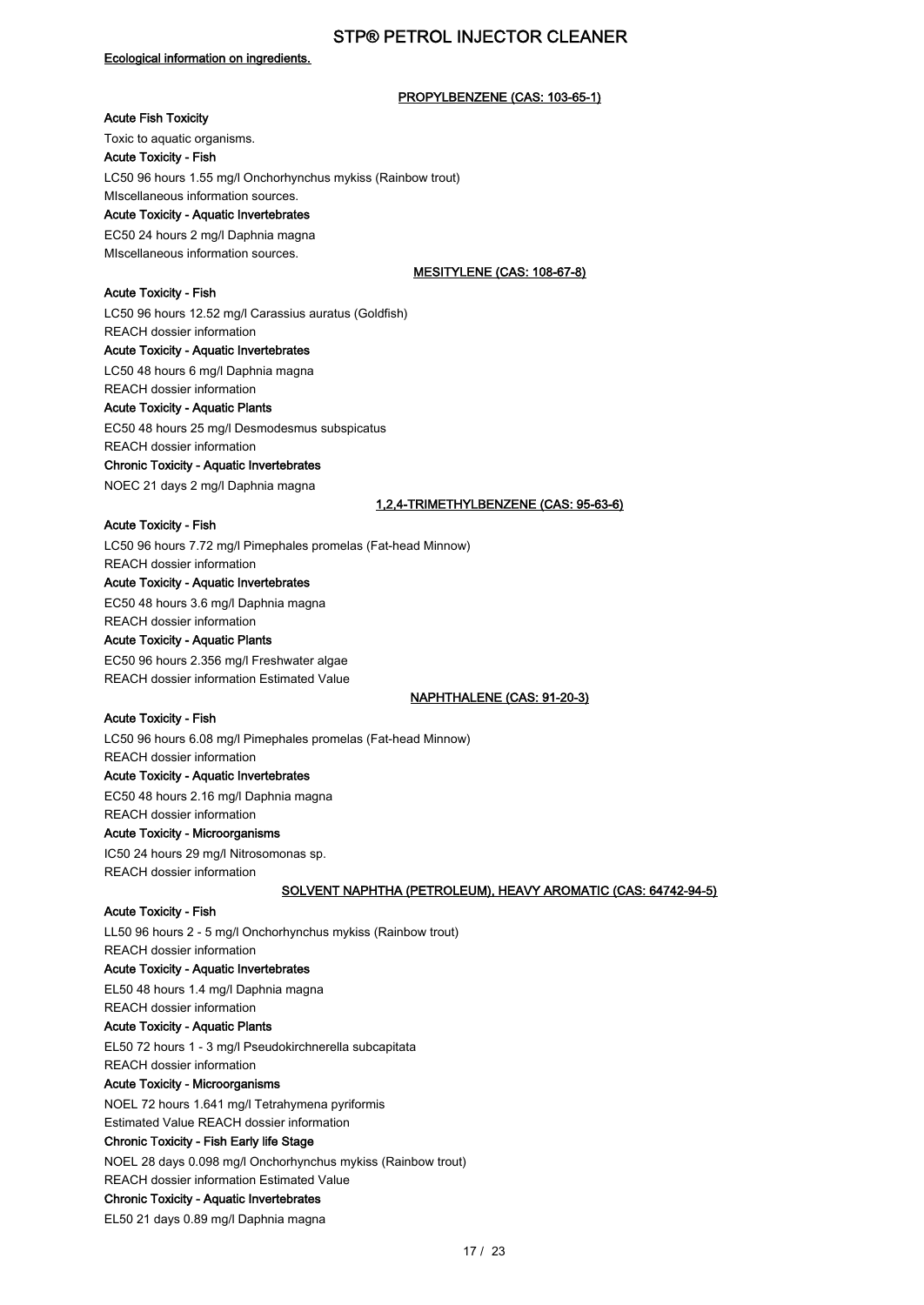## Ecological information on ingredients.

### PROPYLBENZENE (CAS: 103-65-1)

## Acute Fish Toxicity

Toxic to aquatic organisms. Acute Toxicity - Fish LC50 96 hours 1.55 mg/l Onchorhynchus mykiss (Rainbow trout) MIscellaneous information sources.

## Acute Toxicity - Aquatic Invertebrates

EC50 24 hours 2 mg/l Daphnia magna MIscellaneous information sources.

### MESITYLENE (CAS: 108-67-8)

Acute Toxicity - Fish LC50 96 hours 12.52 mg/l Carassius auratus (Goldfish) REACH dossier information Acute Toxicity - Aquatic Invertebrates LC50 48 hours 6 mg/l Daphnia magna

REACH dossier information

## Acute Toxicity - Aquatic Plants

EC50 48 hours 25 mg/l Desmodesmus subspicatus REACH dossier information

Chronic Toxicity - Aquatic Invertebrates

NOEC 21 days 2 mg/l Daphnia magna

#### 1,2,4-TRIMETHYLBENZENE (CAS: 95-63-6)

#### Acute Toxicity - Fish

LC50 96 hours 7.72 mg/l Pimephales promelas (Fat-head Minnow) REACH dossier information

## Acute Toxicity - Aquatic Invertebrates

EC50 48 hours 3.6 mg/l Daphnia magna REACH dossier information

### Acute Toxicity - Aquatic Plants

EC50 96 hours 2.356 mg/l Freshwater algae REACH dossier information Estimated Value

#### NAPHTHALENE (CAS: 91-20-3)

### Acute Toxicity - Fish

LC50 96 hours 6.08 mg/l Pimephales promelas (Fat-head Minnow) REACH dossier information Acute Toxicity - Aquatic Invertebrates EC50 48 hours 2.16 mg/l Daphnia magna REACH dossier information Acute Toxicity - Microorganisms

IC50 24 hours 29 mg/l Nitrosomonas sp. REACH dossier information

### SOLVENT NAPHTHA (PETROLEUM), HEAVY AROMATIC (CAS: 64742-94-5)

### Acute Toxicity - Fish

LL50 96 hours 2 - 5 mg/l Onchorhynchus mykiss (Rainbow trout) REACH dossier information Acute Toxicity - Aquatic Invertebrates EL50 48 hours 1.4 mg/l Daphnia magna REACH dossier information Acute Toxicity - Aquatic Plants EL50 72 hours 1 - 3 mg/l Pseudokirchnerella subcapitata REACH dossier information Acute Toxicity - Microorganisms NOEL 72 hours 1.641 mg/l Tetrahymena pyriformis Estimated Value REACH dossier information

### Chronic Toxicity - Fish Early life Stage

NOEL 28 days 0.098 mg/l Onchorhynchus mykiss (Rainbow trout) REACH dossier information Estimated Value

## Chronic Toxicity - Aquatic Invertebrates

EL50 21 days 0.89 mg/l Daphnia magna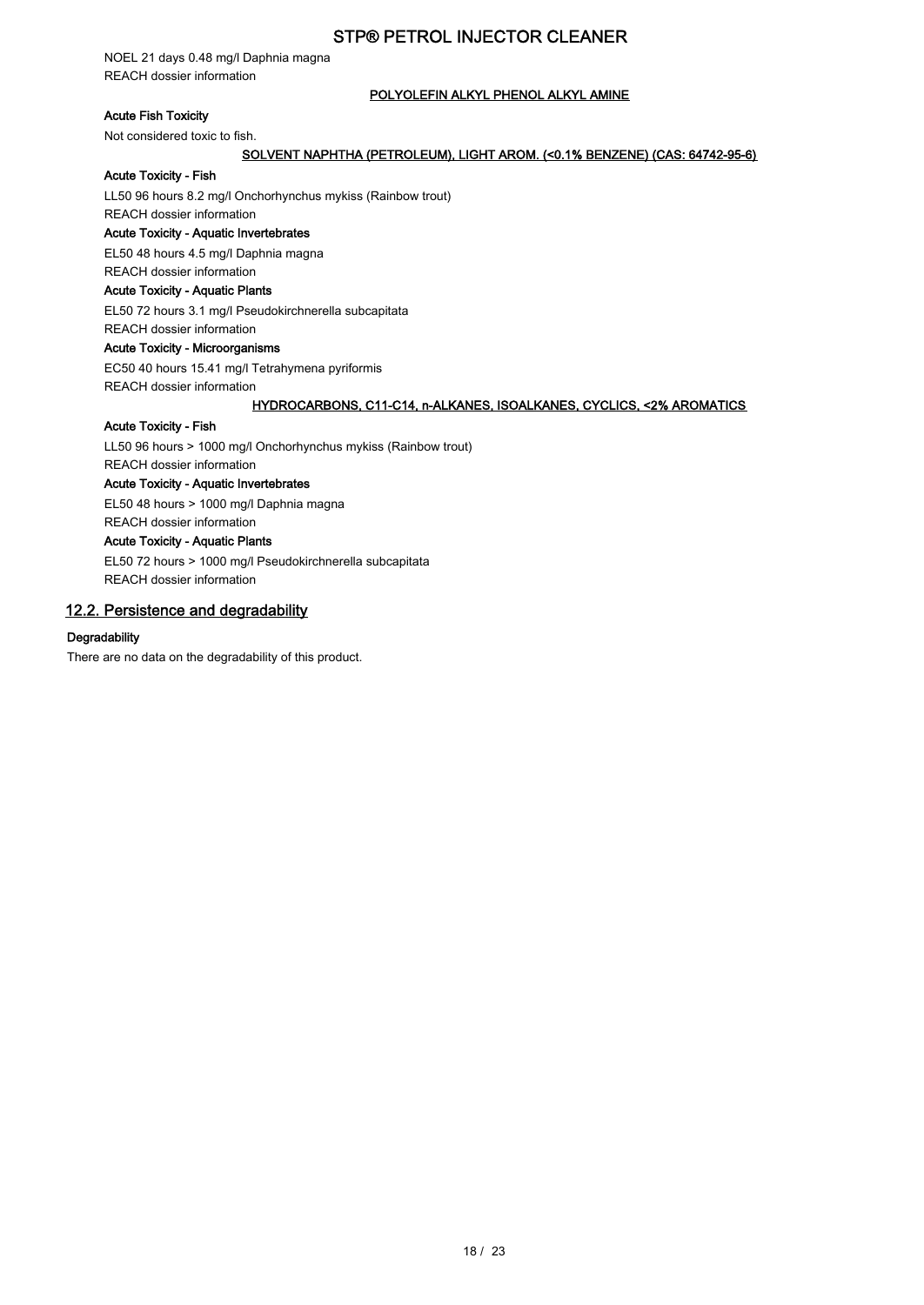NOEL 21 days 0.48 mg/l Daphnia magna REACH dossier information

### POLYOLEFIN ALKYL PHENOL ALKYL AMINE

## Acute Fish Toxicity

Not considered toxic to fish.

### SOLVENT NAPHTHA (PETROLEUM), LIGHT AROM. (<0.1% BENZENE) (CAS: 64742-95-6)

### Acute Toxicity - Fish

LL50 96 hours 8.2 mg/l Onchorhynchus mykiss (Rainbow trout)

REACH dossier information

## Acute Toxicity - Aquatic Invertebrates

EL50 48 hours 4.5 mg/l Daphnia magna

## REACH dossier information

## Acute Toxicity - Aquatic Plants

EL50 72 hours 3.1 mg/l Pseudokirchnerella subcapitata

## REACH dossier information

## Acute Toxicity - Microorganisms

EC50 40 hours 15.41 mg/l Tetrahymena pyriformis

REACH dossier information

### HYDROCARBONS, C11-C14, n-ALKANES, ISOALKANES, CYCLICS, <2% AROMATICS

#### Acute Toxicity - Fish

LL50 96 hours > 1000 mg/l Onchorhynchus mykiss (Rainbow trout) REACH dossier information

### Acute Toxicity - Aquatic Invertebrates

EL50 48 hours > 1000 mg/l Daphnia magna

## REACH dossier information

## Acute Toxicity - Aquatic Plants

EL50 72 hours > 1000 mg/l Pseudokirchnerella subcapitata REACH dossier information

## 12.2. Persistence and degradability

### **Degradability**

There are no data on the degradability of this product.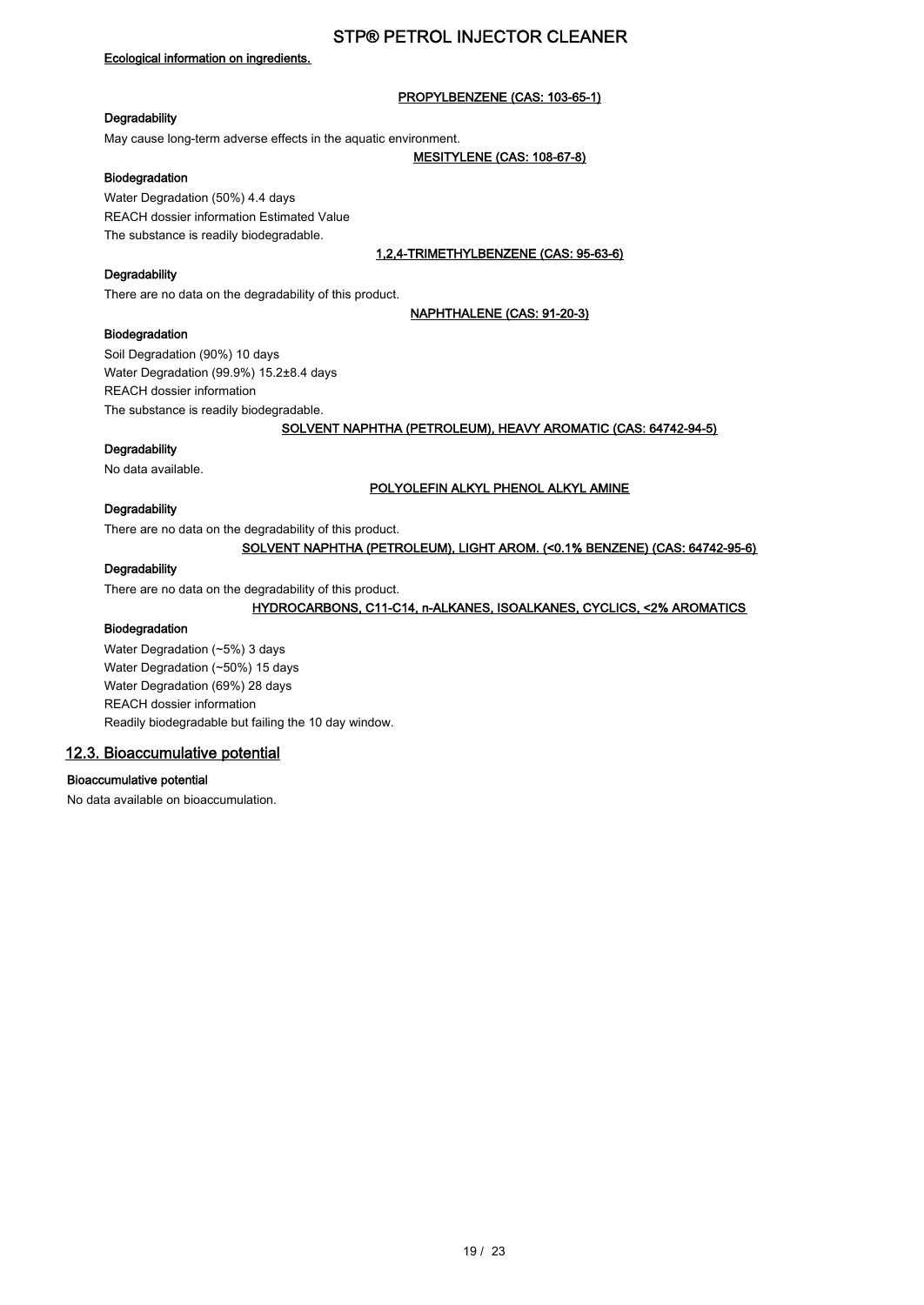### Ecological information on ingredients.

### PROPYLBENZENE (CAS: 103-65-1)

### **Degradability**

May cause long-term adverse effects in the aquatic environment.

#### MESITYLENE (CAS: 108-67-8)

### Biodegradation

Water Degradation (50%) 4.4 days REACH dossier information Estimated Value The substance is readily biodegradable.

1,2,4-TRIMETHYLBENZENE (CAS: 95-63-6)

#### **Degradability**

There are no data on the degradability of this product.

#### NAPHTHALENE (CAS: 91-20-3)

### Biodegradation

Soil Degradation (90%) 10 days Water Degradation (99.9%) 15.2±8.4 days REACH dossier information The substance is readily biodegradable.

### SOLVENT NAPHTHA (PETROLEUM), HEAVY AROMATIC (CAS: 64742-94-5)

### **Degradability**

No data available.

### POLYOLEFIN ALKYL PHENOL ALKYL AMINE

### **Degradability**

There are no data on the degradability of this product.

SOLVENT NAPHTHA (PETROLEUM), LIGHT AROM. (<0.1% BENZENE) (CAS: 64742-95-6)

### **Degradability**

There are no data on the degradability of this product.

### HYDROCARBONS, C11-C14, n-ALKANES, ISOALKANES, CYCLICS, <2% AROMATICS

### Biodegradation

Water Degradation (~5%) 3 days Water Degradation (~50%) 15 days Water Degradation (69%) 28 days REACH dossier information Readily biodegradable but failing the 10 day window.

### 12.3. Bioaccumulative potential

### Bioaccumulative potential

No data available on bioaccumulation.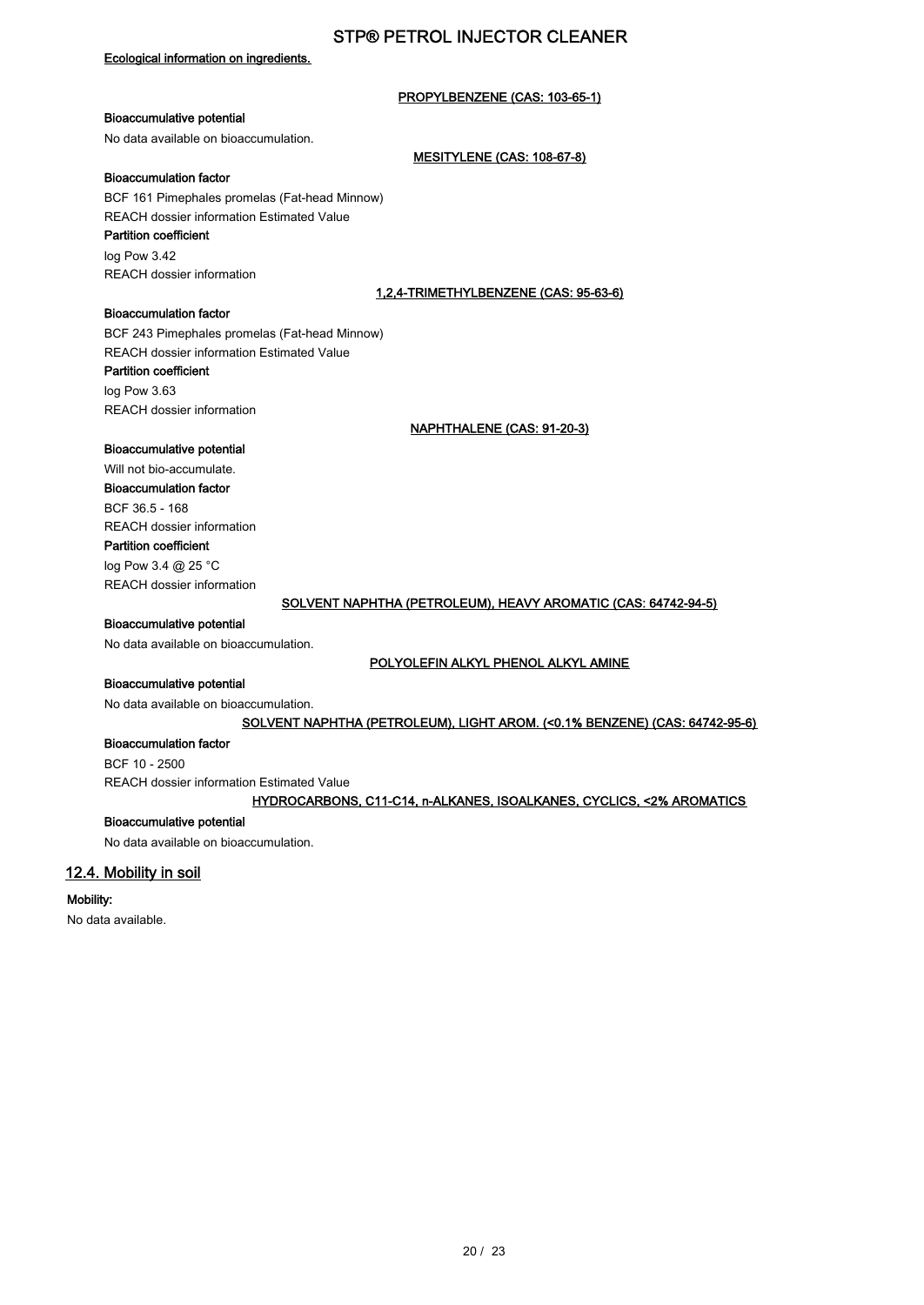### Ecological information on ingredients.

### PROPYLBENZENE (CAS: 103-65-1)

MESITYLENE (CAS: 108-67-8)

### Bioaccumulative potential

No data available on bioaccumulation.

#### Bioaccumulation factor

BCF 161 Pimephales promelas (Fat-head Minnow) REACH dossier information Estimated Value Partition coefficient

log Pow 3.42 REACH dossier information

### 1,2,4-TRIMETHYLBENZENE (CAS: 95-63-6)

### Bioaccumulation factor

BCF 243 Pimephales promelas (Fat-head Minnow) REACH dossier information Estimated Value

### Partition coefficient

log Pow 3.63 REACH dossier information

NAPHTHALENE (CAS: 91-20-3)

### Bioaccumulative potential

### Will not bio-accumulate. Bioaccumulation factor BCF 36.5 - 168

REACH dossier information Partition coefficient

log Pow 3.4 @ 25 °C REACH dossier information

### SOLVENT NAPHTHA (PETROLEUM), HEAVY AROMATIC (CAS: 64742-94-5)

## Bioaccumulative potential

No data available on bioaccumulation.

### POLYOLEFIN ALKYL PHENOL ALKYL AMINE

### Bioaccumulative potential

No data available on bioaccumulation.

### SOLVENT NAPHTHA (PETROLEUM), LIGHT AROM. (<0.1% BENZENE) (CAS: 64742-95-6)

### Bioaccumulation factor

BCF 10 - 2500 REACH dossier information Estimated Value

### HYDROCARBONS, C11-C14, n-ALKANES, ISOALKANES, CYCLICS, <2% AROMATICS

### Bioaccumulative potential

No data available on bioaccumulation.

### 12.4. Mobility in soil

### Mobility:

No data available.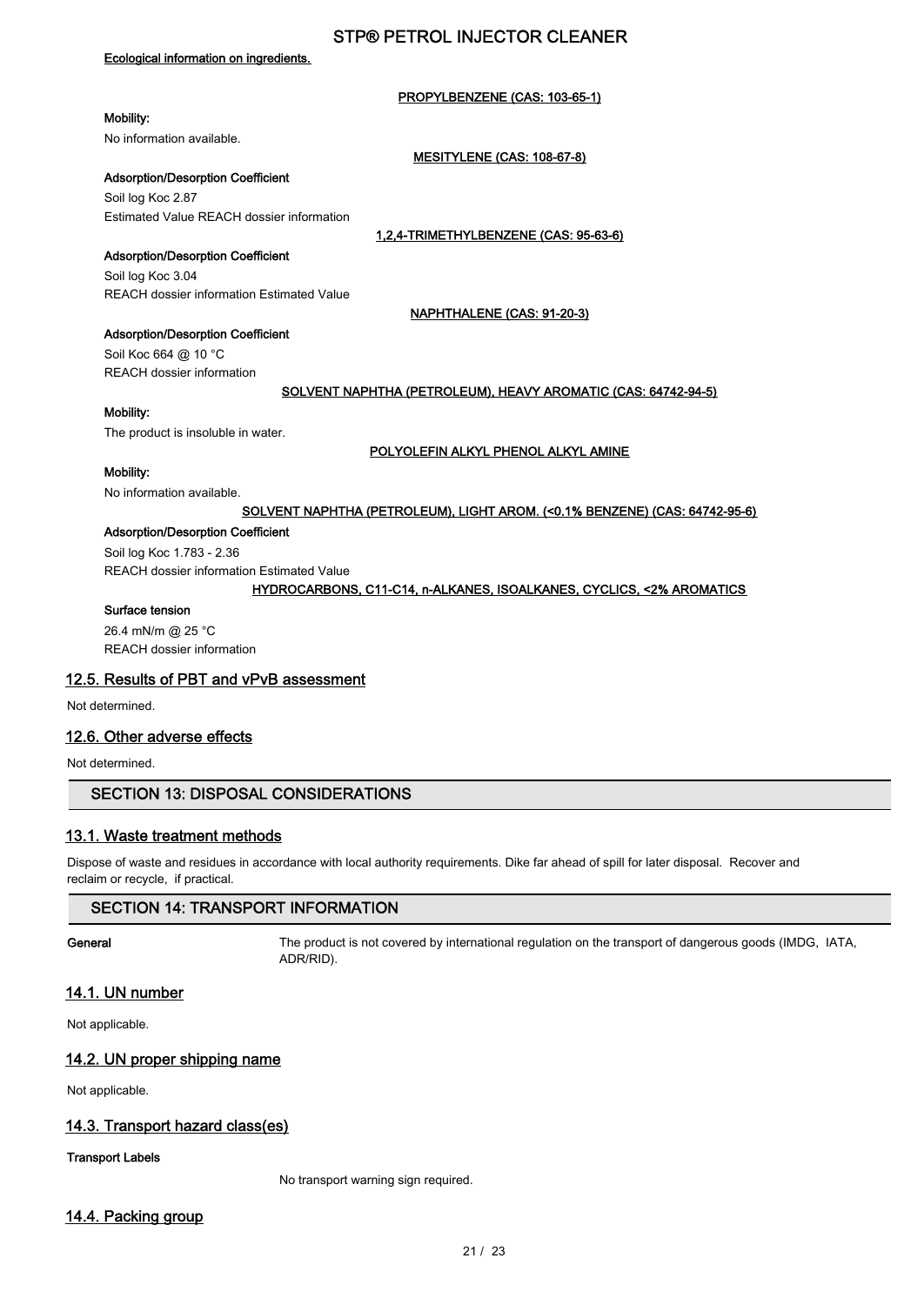### Ecological information on ingredients.

### PROPYLBENZENE (CAS: 103-65-1)

## Mobility:

No information available.

### MESITYLENE (CAS: 108-67-8)

### Adsorption/Desorption Coefficient

Soil log Koc 2.87 Estimated Value REACH dossier information

1,2,4-TRIMETHYLBENZENE (CAS: 95-63-6)

NAPHTHALENE (CAS: 91-20-3)

### Adsorption/Desorption Coefficient

Soil log Koc 3.04 REACH dossier information Estimated Value

Adsorption/Desorption Coefficient

Soil Koc 664 @ 10 °C REACH dossier information

### SOLVENT NAPHTHA (PETROLEUM), HEAVY AROMATIC (CAS: 64742-94-5)

## Mobility:

The product is insoluble in water.

### POLYOLEFIN ALKYL PHENOL ALKYL AMINE

## Mobility:

No information available.

### SOLVENT NAPHTHA (PETROLEUM), LIGHT AROM. (<0.1% BENZENE) (CAS: 64742-95-6)

### Adsorption/Desorption Coefficient

Soil log Koc 1.783 - 2.36

REACH dossier information Estimated Value

### HYDROCARBONS, C11-C14, n-ALKANES, ISOALKANES, CYCLICS, <2% AROMATICS

## Surface tension

26.4 mN/m @ 25 °C REACH dossier information

### 12.5. Results of PBT and vPvB assessment

Not determined.

### 12.6. Other adverse effects

Not determined.

## SECTION 13: DISPOSAL CONSIDERATIONS

## 13.1. Waste treatment methods

Dispose of waste and residues in accordance with local authority requirements. Dike far ahead of spill for later disposal. Recover and reclaim or recycle, if practical.

### SECTION 14: TRANSPORT INFORMATION

General The product is not covered by international regulation on the transport of dangerous goods (IMDG, IATA, ADR/RID).

## 14.1. UN number

Not applicable.

## 14.2. UN proper shipping name

Not applicable.

## 14.3. Transport hazard class(es)

## Transport Labels

No transport warning sign required.

## 14.4. Packing group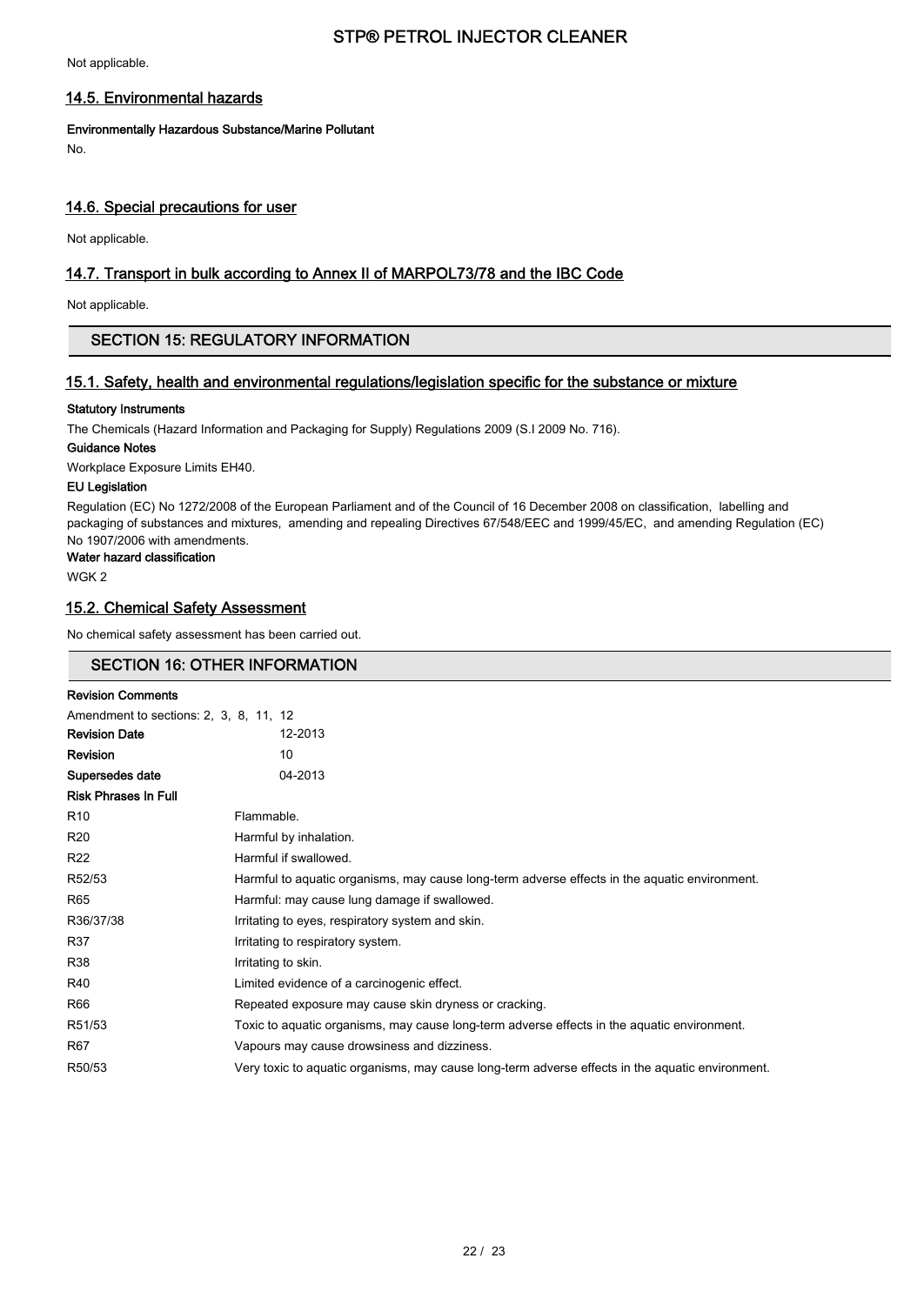Not applicable.

### 14.5. Environmental hazards

Environmentally Hazardous Substance/Marine Pollutant

No.

### 14.6. Special precautions for user

Not applicable.

## 14.7. Transport in bulk according to Annex II of MARPOL73/78 and the IBC Code

Not applicable.

### SECTION 15: REGULATORY INFORMATION

## 15.1. Safety, health and environmental regulations/legislation specific for the substance or mixture

### Statutory Instruments

The Chemicals (Hazard Information and Packaging for Supply) Regulations 2009 (S.I 2009 No. 716).

### Guidance Notes

Workplace Exposure Limits EH40.

#### EU Legislation

Regulation (EC) No 1272/2008 of the European Parliament and of the Council of 16 December 2008 on classification, labelling and packaging of substances and mixtures, amending and repealing Directives 67/548/EEC and 1999/45/EC, and amending Regulation (EC) No 1907/2006 with amendments.

#### Water hazard classification

WGK 2

### 15.2. Chemical Safety Assessment

No chemical safety assessment has been carried out.

## SECTION 16: OTHER INFORMATION

| <b>Revision Comments</b>               |                                                                                                  |
|----------------------------------------|--------------------------------------------------------------------------------------------------|
| Amendment to sections: 2, 3, 8, 11, 12 |                                                                                                  |
| <b>Revision Date</b>                   | 12-2013                                                                                          |
| <b>Revision</b>                        | 10                                                                                               |
| Supersedes date                        | 04-2013                                                                                          |
| <b>Risk Phrases In Full</b>            |                                                                                                  |
| R <sub>10</sub>                        | Flammable.                                                                                       |
| R <sub>20</sub>                        | Harmful by inhalation.                                                                           |
| R <sub>22</sub>                        | Harmful if swallowed.                                                                            |
| R52/53                                 | Harmful to aquatic organisms, may cause long-term adverse effects in the aquatic environment.    |
| R65                                    | Harmful: may cause lung damage if swallowed.                                                     |
| R36/37/38                              | Irritating to eyes, respiratory system and skin.                                                 |
| R37                                    | Irritating to respiratory system.                                                                |
| R38                                    | Irritating to skin.                                                                              |
| R40                                    | Limited evidence of a carcinogenic effect.                                                       |
| R66                                    | Repeated exposure may cause skin dryness or cracking.                                            |
| R51/53                                 | Toxic to aquatic organisms, may cause long-term adverse effects in the aquatic environment.      |
| R67                                    | Vapours may cause drowsiness and dizziness.                                                      |
| R50/53                                 | Very toxic to aquatic organisms, may cause long-term adverse effects in the aquatic environment. |